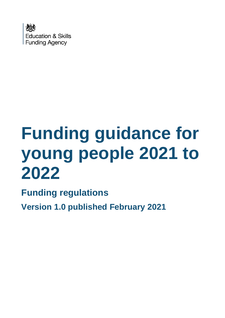

# **Funding guidance for young people 2021 to 2022**

**Funding regulations**

**Version 1.0 published February 2021**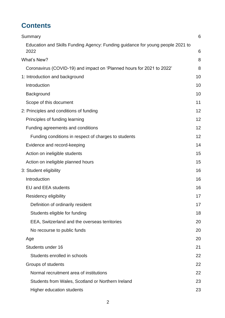# **Contents**

| Summary                                                                                | 6  |
|----------------------------------------------------------------------------------------|----|
| Education and Skills Funding Agency: Funding guidance for young people 2021 to<br>2022 | 6  |
| What's New?                                                                            | 8  |
| Coronavirus (COVID-19) and impact on 'Planned hours for 2021 to 2022'                  | 8  |
| 1: Introduction and background                                                         | 10 |
| Introduction                                                                           | 10 |
| Background                                                                             | 10 |
| Scope of this document                                                                 | 11 |
| 2: Principles and conditions of funding                                                | 12 |
| Principles of funding learning                                                         | 12 |
| Funding agreements and conditions                                                      | 12 |
| Funding conditions in respect of charges to students                                   | 12 |
| Evidence and record-keeping                                                            | 14 |
| Action on ineligible students                                                          | 15 |
| Action on ineligible planned hours                                                     | 15 |
| 3: Student eligibility                                                                 | 16 |
| Introduction                                                                           | 16 |
| <b>EU and EEA students</b>                                                             | 16 |
| Residency eligibility                                                                  | 17 |
| Definition of ordinarily resident                                                      | 17 |
| Students eligible for funding                                                          | 18 |
| EEA, Switzerland and the overseas territories                                          | 20 |
| No recourse to public funds                                                            | 20 |
| Age                                                                                    | 20 |
| Students under 16                                                                      | 21 |
| Students enrolled in schools                                                           | 22 |
| Groups of students                                                                     | 22 |
| Normal recruitment area of institutions                                                | 22 |
| Students from Wales, Scotland or Northern Ireland                                      | 23 |
| <b>Higher education students</b>                                                       | 23 |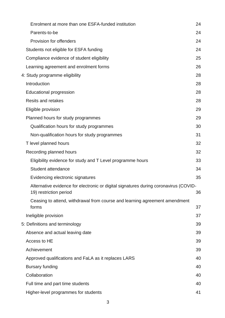| Enrolment at more than one ESFA-funded institution                                   | 24 |
|--------------------------------------------------------------------------------------|----|
| Parents-to-be                                                                        | 24 |
| Provision for offenders                                                              | 24 |
| Students not eligible for ESFA funding                                               | 24 |
| Compliance evidence of student eligibility                                           | 25 |
| Learning agreement and enrolment forms                                               | 26 |
| 4: Study programme eligibility                                                       | 28 |
| Introduction                                                                         | 28 |
| <b>Educational progression</b>                                                       | 28 |
| <b>Resits and retakes</b>                                                            | 28 |
| Eligible provision                                                                   | 29 |
| Planned hours for study programmes                                                   | 29 |
| Qualification hours for study programmes                                             | 30 |
| Non-qualification hours for study programmes                                         | 31 |
| T level planned hours                                                                | 32 |
| Recording planned hours                                                              | 32 |
| Eligibility evidence for study and T Level programme hours                           | 33 |
| Student attendance                                                                   | 34 |
| Evidencing electronic signatures                                                     | 35 |
| Alternative evidence for electronic or digital signatures during coronavirus (COVID- |    |
| 19) restriction period                                                               | 36 |
| Ceasing to attend, withdrawal from course and learning agreement amendment<br>forms  | 37 |
| Ineligible provision                                                                 | 37 |
| 5: Definitions and terminology                                                       | 39 |
| Absence and actual leaving date                                                      | 39 |
| Access to HE                                                                         | 39 |
| Achievement                                                                          | 39 |
| Approved qualifications and FaLA as it replaces LARS                                 | 40 |
| <b>Bursary funding</b>                                                               | 40 |
| Collaboration                                                                        | 40 |
| Full time and part time students                                                     | 40 |
| Higher-level programmes for students                                                 | 41 |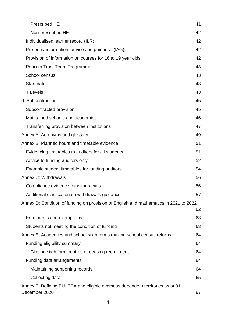| <b>Prescribed HE</b>                                                                            | 41 |
|-------------------------------------------------------------------------------------------------|----|
| Non-prescribed HE                                                                               | 42 |
| Individualised learner record (ILR)                                                             | 42 |
| Pre-entry information, advice and guidance (IAG)                                                | 42 |
| Provision of information on courses for 16 to 19 year olds                                      | 42 |
| <b>Prince's Trust Team Programme</b>                                                            | 43 |
| School census                                                                                   | 43 |
| Start date                                                                                      | 43 |
| <b>T</b> Levels                                                                                 | 43 |
| 6: Subcontracting                                                                               | 45 |
| Subcontracted provision                                                                         | 45 |
| Maintained schools and academies                                                                | 46 |
| Transferring provision between institutions                                                     | 47 |
| Annex A: Acronyms and glossary                                                                  | 49 |
| Annex B: Planned hours and timetable evidence                                                   | 51 |
| Evidencing timetables to auditors for all students                                              | 51 |
| Advice to funding auditors only                                                                 | 52 |
| Example student timetables for funding auditors                                                 | 54 |
| Annex C: Withdrawals                                                                            | 56 |
| Compliance evidence for withdrawals                                                             | 56 |
| Additional clarification on withdrawals guidance                                                | 57 |
| Annex D: Condition of funding on provision of English and mathematics in 2021 to 2022           |    |
|                                                                                                 | 62 |
| Enrolments and exemptions                                                                       | 63 |
| Students not meeting the condition of funding                                                   | 63 |
| Annex E: Academies and school sixth forms making school census returns                          | 64 |
| Funding eligibility summary                                                                     | 64 |
| Closing sixth form centres or ceasing recruitment                                               | 64 |
| Funding data arrangements                                                                       | 64 |
| Maintaining supporting records                                                                  | 64 |
| Collecting data                                                                                 | 65 |
| Annex F: Defining EU, EEA and eligible overseas dependent territories as at 31<br>December 2020 | 67 |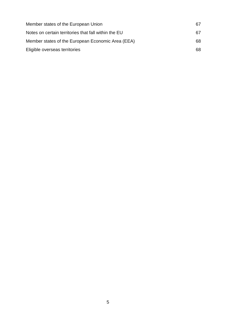| 67  |
|-----|
| 67  |
| 68. |
| 68. |
|     |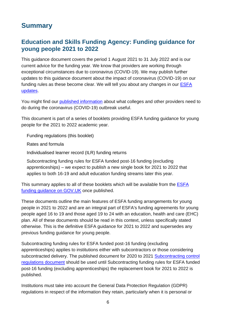## <span id="page-5-0"></span>**Summary**

#### <span id="page-5-1"></span>**Education and Skills Funding Agency: Funding guidance for young people 2021 to 2022**

This guidance document covers the period 1 August 2021 to 31 July 2022 and is our current advice for the funding year. We know that providers are working through exceptional circumstances due to coronavirus (COVID-19). We may publish further updates to this guidance document about the impact of coronavirus (COVID-19) on our funding rules as these become clear. We will tell you about any changes in our [ESFA](https://www.gov.uk/government/collections/esfa-update)  [updates.](https://www.gov.uk/government/collections/esfa-update)

You might find our [published information](https://www.gov.uk/government/collections/further-and-higher-education-coronavirus-covid-19) about what colleges and other providers need to do during the coronavirus (COVID-19) outbreak useful.

This document is part of a series of booklets providing ESFA funding guidance for young people for the 2021 to 2022 academic year.

Funding regulations (this booklet)

Rates and formula

Individualised learner record (ILR) funding returns

Subcontracting funding rules for ESFA funded post-16 funding (excluding apprenticeships) – we expect to publish a new single book for 2021 to 2022 that applies to both 16-19 and adult education funding streams later this year.

This summary applies to all of these booklets which will be available from the [ESFA](https://www.gov.uk/16-to-19-education-funding-guidance)  [funding guidance o](https://www.gov.uk/16-to-19-education-funding-guidance)n GOV.UK once published.

These documents outline the main features of ESFA funding arrangements for young people in 2021 to 2022 and are an integral part of ESFA's funding agreements for young people aged 16 to 19 and those aged 19 to 24 with an education, health and care (EHC) plan. All of these documents should be read in this context, unless specifically stated otherwise. This is the definitive ESFA guidance for 2021 to 2022 and supersedes any previous funding guidance for young people.

Subcontracting funding rules for ESFA funded post-16 funding (excluding apprenticeships) applies to institutions either with subcontractors or those considering subcontracted delivery. The published document for 2020 to 2021 Subcontracting control [regulations document](https://www.gov.uk/government/publications/funding-guidance-for-young-people-sub-contracting-controls) should be used until Subcontracting funding rules for ESFA funded post-16 funding (excluding apprenticeships) the replacement book for 2021 to 2022 is published.

Institutions must take into account the General Data Protection Regulation (GDPR) regulations in respect of the information they retain, particularly when it is personal or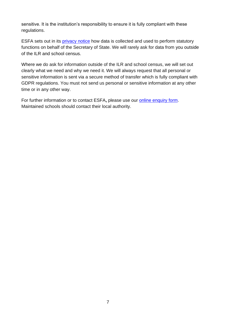sensitive. It is the institution's responsibility to ensure it is fully compliant with these regulations.

ESFA sets out in its [privacy notice](https://www.gov.uk/government/publications/esfa-privacy-notice) how data is collected and used to perform statutory functions on behalf of the Secretary of State. We will rarely ask for data from you outside of the ILR and school census.

Where we do ask for information outside of the ILR and school census, we will set out clearly what we need and why we need it. We will always request that all personal or sensitive information is sent via a secure method of transfer which is fully compliant with GDPR regulations. You must not send us personal or sensitive information at any other time or in any other way.

For further information or to contact ESFA**,** please use our [online enquiry form.](https://form.education.gov.uk/fillform.php?self=1&form_id=HR41uA2F8Dh&type=form&ShowMsg=1&form_name=Knowledge+centre+enquiry+form&noRegister=false&ret=%2Fmodule%2Fservices&noLoginPrompt=1) Maintained schools should contact their local authority.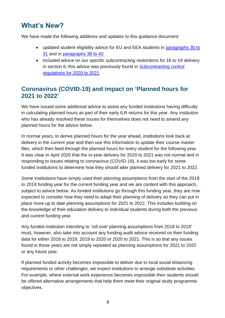# <span id="page-7-0"></span>**What's New?**

We have made the following additions and updates to this guidance document:

- updated student eligibility advice for EU and EEA students in paragraphs 30 to [31](#page-15-2) and in [paragraphs 38 to 40](#page-17-0)
- included advice on our specific subcontracting restrictions for 16 to 19 delivery in section 6; this advice was previously found in [Subcontracting control](https://www.gov.uk/government/publications/funding-guidance-for-young-people-sub-contracting-controls)  [regulations for](https://www.gov.uk/government/publications/funding-guidance-for-young-people-sub-contracting-controls) 2020 to 2021

#### <span id="page-7-1"></span>**Coronavirus (COVID-19) and impact on 'Planned hours for 2021 to 2022'**

We have issued some additional advice to assist any funded institutions having difficulty in calculating planned hours as part of their early ILR returns for this year. Any institution who has already resolved these issues for themselves does not need to amend any planned hours for the advice below.

In normal years, to derive planned hours for the year ahead, institutions look back at delivery in the current year and then use this information to update their course master files, which then feed through the planned hours for every student for the following year. It was clear in April 2020 that the in-year delivery for 2020 to 2021 was not normal and in responding to issues relating to coronavirus (COVID-19), it was too early for some funded institutions to determine how they should alter planned delivery for 2021 to 2022.

Some institutions have simply used their planning assumptions from the start of the 2018 to 2019 funding year for the current funding year and we are content with this approach, subject to advice below. As funded institutions go through this funding year, they are now expected to consider how they need to adapt their planning of delivery so they can put in place more up to date planning assumptions for 2021 to 2022. This includes building on the knowledge of their education delivery to individual students during both the previous and current funding year.

Any funded institution intending to 'roll over planning assumptions from 2018 to 2019' must, however, also take into account any funding audit advice received on their funding data for either 2018 to 2019, 2019 to 2020 or 2020 to 2021. This is so that any issues found in those years are not simply repeated as planning assumptions for 2021 to 2022 or any future year.

If planned funded activity becomes impossible to deliver due to local social distancing requirements or other challenges, we expect institutions to arrange substitute activities. For example, where external work experience becomes impossible then students should be offered alternative arrangements that help them meet their original study programme objectives.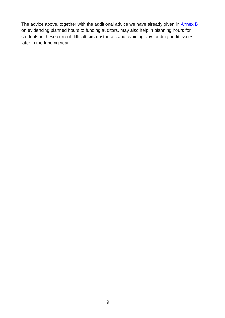The advice above, together with the additional advice we have already given in [Annex B](#page-50-0) on evidencing planned hours to funding auditors, may also help in planning hours for students in these current difficult circumstances and avoiding any funding audit issues later in the funding year.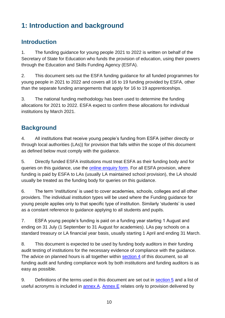# <span id="page-9-0"></span>**1: Introduction and background**

#### <span id="page-9-1"></span>**Introduction**

1. The funding guidance for young people 2021 to 2022 is written on behalf of the Secretary of State for Education who funds the provision of education, using their powers through the Education and Skills Funding Agency (ESFA).

2. This document sets out the ESFA funding guidance for all funded programmes for young people in 2021 to 2022 and covers all 16 to 19 funding provided by ESFA, other than the separate funding arrangements that apply for 16 to 19 apprenticeships.

3. The national funding methodology has been used to determine the funding allocations for 2021 to 2022. ESFA expect to confirm these allocations for individual institutions by March 2021.

## <span id="page-9-2"></span>**Background**

4. All institutions that receive young people's funding from ESFA (either directly or through local authorities (LAs)) for provision that falls within the scope of this document as defined below must comply with the guidance.

5. Directly funded ESFA institutions must treat ESFA as their funding body and for queries on this guidance, use the [online enquiry form.](https://form.education.gov.uk/fillform.php?self=1&form_id=HR41uA2F8Dh&type=form&ShowMsg=1&form_name=Knowledge+centre+enquiry+form&noRegister=false&ret=%2Fmodule%2Fservices&noLoginPrompt=1) For all ESFA provision, where funding is paid by ESFA to LAs (usually LA maintained school provision), the LA should usually be treated as the funding body for queries on this guidance.

6. The term 'institutions' is used to cover academies, schools, colleges and all other providers. The individual institution types will be used where the Funding guidance for young people applies only to that specific type of institution. Similarly 'students' is used as a constant reference to guidance applying to all students and pupils.

7. ESFA young people's funding is paid on a funding year starting 1 August and ending on 31 July (1 September to 31 August for academies). LAs pay schools on a standard treasury or LA financial year basis, usually starting 1 April and ending 31 March.

8. This document is expected to be used by funding body auditors in their funding audit testing of institutions for the necessary evidence of compliance with the guidance. The advice on planned hours is all together within [section 4](#page-27-0) of this document, so all funding audit and funding compliance work by both institutions and funding auditors is as easy as possible.

9. Definitions of the terms used in this document are set out in [section 5](#page-38-0) and a list of useful acronyms is included in [annex A.](#page-48-0) [Annex E](#page-63-0) relates only to provision delivered by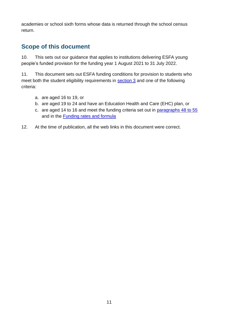academies or school sixth forms whose data is returned through the school census return.

## <span id="page-10-0"></span>**Scope of this document**

10. This sets out our guidance that applies to institutions delivering ESFA young people's funded provision for the funding year 1 August 2021 to 31 July 2022.

11. This document sets out ESFA funding conditions for provision to students who meet both the student eligibility requirements in [section 3](#page-15-0) and one of the following criteria:

- a. are aged 16 to 19, or
- b. are aged 19 to 24 and have an Education Health and Care (EHC) plan, or
- c. are aged 14 to 16 and meet the funding criteria set out in [paragraphs 48 to 55](#page-20-0) and in the [Funding rates and formula](https://www.gov.uk/government/publications/funding-rates-and-formula)
- 12. At the time of publication, all the web links in this document were correct.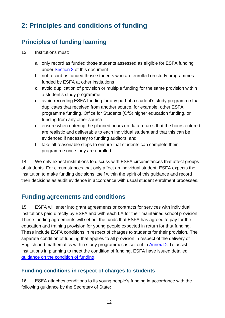# <span id="page-11-0"></span>**2: Principles and conditions of funding**

## <span id="page-11-1"></span>**Principles of funding learning**

- 13. Institutions must:
	- a. only record as funded those students assessed as eligible for ESFA funding under [Section 3](#page-15-0) of this document
	- b. not record as funded those students who are enrolled on study programmes funded by ESFA at other institutions
	- c. avoid duplication of provision or multiple funding for the same provision within a student's study programme
	- d. avoid recording ESFA funding for any part of a student's study programme that duplicates that received from another source, for example, other ESFA programme funding, Office for Students (OfS) higher education funding, or funding from any other source
	- e. ensure when entering the planned hours on data returns that the hours entered are realistic and deliverable to each individual student and that this can be evidenced if necessary to funding auditors, and
	- f. take all reasonable steps to ensure that students can complete their programme once they are enrolled

14. We only expect institutions to discuss with ESFA circumstances that affect groups of students. For circumstances that only affect an individual student, ESFA expects the institution to make funding decisions itself within the spirit of this guidance and record their decisions as audit evidence in accordance with usual student enrolment processes.

## <span id="page-11-2"></span>**Funding agreements and conditions**

15. ESFA will enter into grant agreements or contracts for services with individual institutions paid directly by ESFA and with each LA for their maintained school provision. These funding agreements will set out the funds that ESFA has agreed to pay for the education and training provision for young people expected in return for that funding. These include ESFA conditions in respect of charges to students for their provision. The separate condition of funding that applies to all provision in respect of the delivery of English and mathematics within study programmes is set out in **Annex D**. To assist institutions in planning to meet the condition of funding, ESFA have issued detailed [guidance on the condition of funding.](https://www.gov.uk/16-to-19-funding-maths-and-english-condition-of-funding)

#### <span id="page-11-3"></span>**Funding conditions in respect of charges to students**

<span id="page-11-4"></span>16. ESFA attaches conditions to its young people's funding in accordance with the following guidance by the Secretary of State: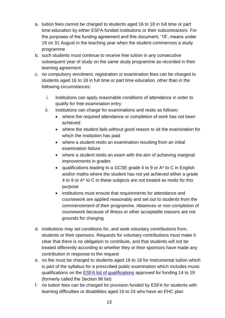- a. tuition fees cannot be charged to students aged 16 to 18 in full time or part time education by either ESFA-funded institutions or their subcontractors. For the purposes of the funding agreement and this document, '18', means under 19 on 31 August in the teaching year when the student commences a study programme
- b. such students must continue to receive free tuition in any consecutive subsequent year of study on the same study programme as recorded in their learning agreement
- c. no compulsory enrolment, registration or examination fees can be charged to students aged 16 to 18 in full time or part time education, other than in the following circumstances:
	- i. institutions can apply reasonable conditions of attendance in order to qualify for free examination entry
	- ii. institutions can charge for examinations and resits as follows:
		- where the required attendance or completion of work has not been achieved
		- where the student fails without good reason to sit the examination for which the institution has paid
		- where a student resits an examination resulting from an initial examination failure
		- where a student resits an exam with the aim of achieving marginal improvements in grades
		- qualifications leading to a GCSE grade 4 to 9 or A\* to C in English and/or maths where the student has not yet achieved either a grade 4 to 9 or A\* to C in these subjects are not treated as resits for this purpose
		- institutions must ensure that requirements for attendance and coursework are applied reasonably and set out to students from the commencement of their programme. Absences or non-completion of coursework because of illness or other acceptable reasons are not grounds for charging
- d. institutions may set conditions for, and seek voluntary contributions from, students or their sponsors. Requests for voluntary contributions must make it clear that there is no obligation to contribute, and that students will not be treated differently according to whether they or their sponsors have made any contribution in response to the request
- e. no fee must be charged to students aged 16 to 18 for instrumental tuition which is part of the syllabus for a prescribed public examination which includes music qualifications on the **ESFA list of qualifications** approved for funding 14 to 19 (formerly called the Section 96 list)
- f. no tuition fees can be charged for provision funded by ESFA for students with learning difficulties or disabilities aged 19 to 24 who have an EHC plan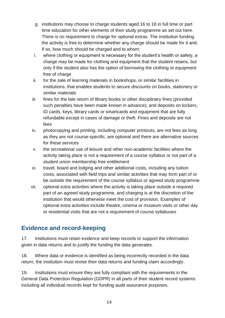- g. institutions may choose to charge students aged 16 to 18 in full time or part time education for other elements of their study programme as set out here. There is no requirement to charge for optional extras. The institution funding the activity is free to determine whether any charge should be made for it and, if so, how much should be charged and to whom:
- i. where clothing or equipment is necessary for the student's health or safety, a charge may be made for clothing and equipment that the student retains, but only if the student also has the option of borrowing the clothing or equipment free of charge
- ii. for the sale of learning materials in bookshops, or similar facilities in institutions, that enables students to secure discounts on books, stationery or similar materials
- iii. fines for the late return of library books or other disciplinary fines (provided such penalties have been made known in advance); and deposits on lockers, ID cards, keys, library cards or smartcards and equipment that are fully refundable except in cases of damage or theft. Fines and deposits are not fees
- iv. photocopying and printing, including computer printouts, are not fees as long as they are not course-specific, are optional and there are alternative sources for these services
- v. the recreational use of leisure and other non-academic facilities where the activity taking place is not a requirement of a course syllabus or not part of a student union membership free entitlement
- vi. travel, board and lodging and other additional costs, including any tuition costs, associated with field trips and similar activities that may form part of or be outside the requirement of the course syllabus or agreed study programme
- vii. optional extra activities where the activity is taking place outside a required part of an agreed study programme, and charging is at the discretion of the institution that would otherwise meet the cost of provision. Examples of optional extra activities include theatre, cinema or museum visits or other day or residential visits that are not a requirement of course syllabuses

## <span id="page-13-0"></span>**Evidence and record-keeping**

17. Institutions must retain evidence and keep records to support the information given in data returns and to justify the funding the data generates.

18. Where data or evidence is identified as being incorrectly recorded in the data return, the institution must revise their data returns and funding claim accordingly.

19. Institutions must ensure they are fully compliant with the requirements in the General Data Protection Regulation (GDPR) in all parts of their student record systems including all individual records kept for funding audit assurance purposes.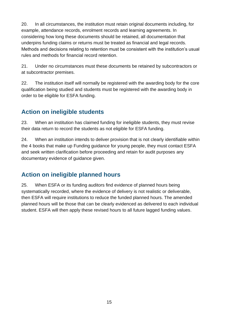20. In all circumstances, the institution must retain original documents including, for example, attendance records, enrolment records and learning agreements. In considering how long these documents should be retained, all documentation that underpins funding claims or returns must be treated as financial and legal records. Methods and decisions relating to retention must be consistent with the institution's usual rules and methods for financial record retention.

21. Under no circumstances must these documents be retained by subcontractors or at subcontractor premises.

22. The institution itself will normally be registered with the awarding body for the core qualification being studied and students must be registered with the awarding body in order to be eligible for ESFA funding.

## <span id="page-14-0"></span>**Action on ineligible students**

23. When an institution has claimed funding for ineligible students, they must revise their data return to record the students as not eligible for ESFA funding.

24. When an institution intends to deliver provision that is not clearly identifiable within the 4 books that make up Funding guidance for young people, they must contact ESFA and seek written clarification before proceeding and retain for audit purposes any documentary evidence of guidance given.

## <span id="page-14-1"></span>**Action on ineligible planned hours**

25. When ESFA or its funding auditors find evidence of planned hours being systematically recorded, where the evidence of delivery is not realistic or deliverable, then ESFA will require institutions to reduce the funded planned hours. The amended planned hours will be those that can be clearly evidenced as delivered to each individual student. ESFA will then apply these revised hours to all future lagged funding values.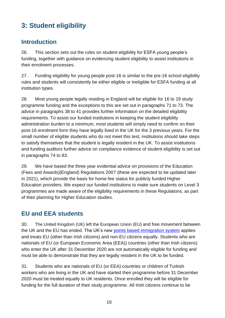# <span id="page-15-0"></span>**3: Student eligibility**

#### <span id="page-15-1"></span>**Introduction**

26. This section sets out the rules on student eligibility for ESFA young people's funding, together with guidance on evidencing student eligibility to assist institutions in their enrolment processes.

27. Funding eligibility for young people post-16 is similar to the pre-16 school eligibility rules and students will consistently be either eligible or ineligible for ESFA funding at all institution types.

28. Most young people legally residing in England will be eligible for 16 to 19 study programme funding and the exceptions to this are set out in paragraphs [71](#page-24-1) to [73.](#page-24-2) The advice in paragraphs [38](#page-17-1) to [41](#page-19-3) provides further information on the detailed eligibility requirements. To assist our funded institutions in keeping the student eligibility administration burden to a minimum, most students will simply need to confirm on their post-16 enrolment form they have legally lived in the UK for the 3 previous years. For the small number of eligible students who do not meet this test, institutions should take steps to satisfy themselves that the student is legally resident in the UK. To assist institutions and funding auditors further advice on compliance evidence of student eligibility is set out in paragraphs [74](#page-24-3) to [83.](#page-26-0)

29. We have based the three year evidential advice on provisions of the Education (Fees and Awards)(England) Regulations 2007 (these are expected to be updated later in 2021), which provide the basis for home-fee status for publicly funded Higher Education providers. We expect our funded institutions to make sure students on Level 3 programmes are made aware of the eligibility requirements in these Regulations, as part of their planning for Higher Education studies.

## <span id="page-15-2"></span>**EU and EEA students**

30. The United Kingdom (UK) left the European Union (EU) and free movement between the UK and the EU has ended. The UK's new [points based immigration system](https://www.gov.uk/guidance/new-immigration-system-what-you-need-to-know#eu-citizens-living-in-the-uk-by-31-december-2020) applies and treats EU (other than Irish citizens) and non-EU citizens equally. Students who are nationals of EU (or European Economic Area (EEA)) countries (other than Irish citizens) who enter the UK after 31 December 2020 are not automatically eligible for funding and must be able to demonstrate that they are legally resident in the UK to be funded.

31. Students who are nationals of EU (or EEA) countries or children of Turkish workers who are living in the UK and have started their programme before 31 December 2020 must be treated equally to UK residents. Once enrolled they will be eligible for funding for the full duration of their study programme. All Irish citizens continue to be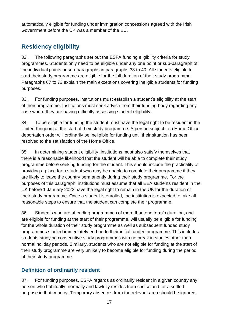automatically eligible for funding under immigration concessions agreed with the Irish Government before the UK was a member of the EU.

## <span id="page-16-0"></span>**Residency eligibility**

32. The following paragraphs set out the ESFA funding eligibility criteria for study programmes. Students only need to be eligible under any one point or sub-paragraph of the individual points or sub-paragraphs in paragraphs [38](#page-17-1) to 40. All students eligible to start their study programme are eligible for the full duration of their study programme. Paragraphs [67](#page-23-4) to [73](#page-24-2) explain the main exceptions covering ineligible students for funding purposes.

33. For funding purposes, institutions must establish a student's eligibility at the start of their programme. Institutions must seek advice from their funding body regarding any case where they are having difficulty assessing student eligibility.

34. To be eligible for funding the student must have the legal right to be resident in the United Kingdom at the start of their study programme. A person subject to a Home Office deportation order will ordinarily be ineligible for funding until their situation has been resolved to the satisfaction of the Home Office.

35. In determining student eligibility, institutions must also satisfy themselves that there is a reasonable likelihood that the student will be able to complete their study programme before seeking funding for the student. This should include the practicality of providing a place for a student who may be unable to complete their programme if they are likely to leave the country permanently during their study programme. For the purposes of this paragraph, institutions must assume that all EEA students resident in the UK before 1 January 2022 have the legal right to remain in the UK for the duration of their study programme. Once a student is enrolled, the institution is expected to take all reasonable steps to ensure that the student can complete their programme.

36. Students who are attending programmes of more than one term's duration, and are eligible for funding at the start of their programme, will usually be eligible for funding for the whole duration of their study programme as well as subsequent funded study programmes studied immediately end-on to their initial funded programme. This includes students studying consecutive study programmes with no break in studies other than normal holiday periods. Similarly, students who are not eligible for funding at the start of their study programme are very unlikely to become eligible for funding during the period of their study programme.

#### <span id="page-16-1"></span>**Definition of ordinarily resident**

37. For funding purposes, ESFA regards as ordinarily resident in a given country any person who habitually, normally and lawfully resides from choice and for a settled purpose in that country. Temporary absences from the relevant area should be ignored.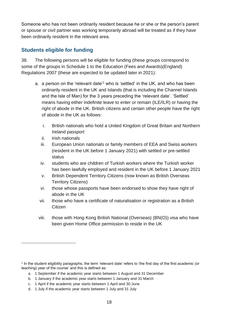Someone who has not been ordinarily resident because he or she or the person's parent or spouse or civil partner was working temporarily abroad will be treated as if they have been ordinarily resident in the relevant area.

#### <span id="page-17-0"></span>**Students eligible for funding**

<span id="page-17-1"></span>38. The following persons will be eligible for funding (these groups correspond to some of the groups in Schedule 1 to the Education (Fees and Awards)(England) Regulations 2007 (these are expected to be updated later in 2021):

- a. a person on the 'relevant date'<sup>1</sup> who is 'settled' in the UK, and who has been ordinarily resident in the UK and Islands (that is including the Channel Islands and the Isle of Man) for the 3 years preceding the 'relevant date'. 'Settled' means having either indefinite leave to enter or remain (ILE/ILR) or having the right of abode in the UK. British citizens and certain other people have the right of abode in the UK as follows:
	- i. British nationals who hold a United Kingdom of Great Britain and Northern Ireland passport
	- ii. Irish nationals
	- iii. European Union nationals or family members of EEA and Swiss workers (resident in the UK before 1 January 2021) with settled or pre-settled status
	- iv. students who are children of Turkish workers where the Turkish worker has been lawfully employed and resident in the UK before 1 January 2021
	- v. British Dependent Territory Citizens (now known as British Overseas Territory Citizens)
	- vi. those whose passports have been endorsed to show they have right of abode in the UK
	- vii. those who have a certificate of naturalisation or registration as a British Citizen
	- viii. those with Hong Kong British National (Overseas) (BN(O)) visa who have been given Home Office permission to reside in the UK

<sup>1</sup> In the student eligibility paragraphs, the term 'relevant date' refers to 'the first day of the first academic (or teaching) year of the course' and this is defined as:

a. 1 September if the academic year starts between 1 August and 31 December

b. 1 January if the academic year starts between 1 January and 31 March

c. 1 April if the academic year starts between 1 April and 30 June

d. 1 July if the academic year starts between 1 July and 31 July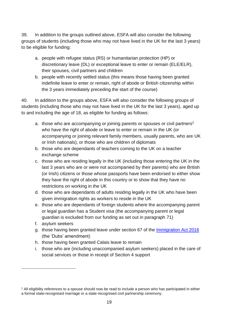<span id="page-18-0"></span>39. In addition to the groups outlined above, ESFA will also consider the following groups of students (including those who may not have lived in the UK for the last 3 years) to be eligible for funding:

- a. people with refugee status (RS) or humanitarian protection (HP) or discretionary leave (DL) or exceptional leave to enter or remain (ELE/ELR), their spouses, civil partners and children
- b. people with recently settled status (this means those having been granted indefinite leave to enter or remain, right of abode or British citizenship within the 3 years immediately preceding the start of the course)

40. In addition to the groups above, ESFA will also consider the following groups of students (including those who may not have lived in the UK for the last 3 years), aged up to and including the age of 18, as eligible for funding as follows:

- a. those who are accompanying or joining parents or spouses or civil partners<sup>2</sup> who have the right of abode or leave to enter or remain in the UK (or accompanying or joining relevant family members, usually parents, who are UK or Irish nationals), or those who are children of diplomats
- b. those who are dependants of teachers coming to the UK on a teacher exchange scheme
- c. those who are residing legally in the UK (including those entering the UK in the last 3 years who are or were not accompanied by their parents) who are British (or Irish) citizens or those whose passports have been endorsed to either show they have the right of abode in this country or to show that they have no restrictions on working in the UK
- d. those who are dependants of adults residing legally in the UK who have been given immigration rights as workers to reside in the UK
- e. those who are dependants of foreign students where the accompanying parent or legal guardian has a Student visa (the accompanying parent or legal guardian is excluded from our funding as set out in paragraph [71\)](#page-24-1)
- f. asylum seekers
- g. those having been granted leave under section 67 of the [Immigration Act 2016](http://www.legislation.gov.uk/ukpga/2016/19/section/67) (the 'Dubs' amendment)
- h. those having been granted Calais leave to remain
- i. those who are (including unaccompanied asylum seekers) placed in the care of social services or those in receipt of Section 4 support

<sup>&</sup>lt;sup>2</sup> All eligibility references to a spouse should now be read to include a person who has participated in either a formal state-recognised marriage or a state-recognised civil partnership ceremony.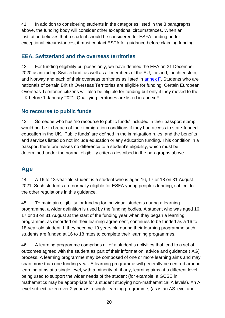<span id="page-19-3"></span>41. In addition to considering students in the categories listed in the 3 paragraphs above, the funding body will consider other exceptional circumstances. When an institution believes that a student should be considered for ESFA funding under exceptional circumstances, it must contact ESFA for guidance before claiming funding.

#### <span id="page-19-0"></span>**EEA, Switzerland and the overseas territories**

<span id="page-19-4"></span>42. For funding eligibility purposes only, we have defined the EEA on 31 December 2020 as including Switzerland, as well as all members of the EU, Iceland, Liechtenstein, and Norway and each of their overseas territories as listed in [annex F.](#page-66-0) Students who are nationals of certain British Overseas Territories are eligible for funding. Certain European Overseas Territories citizens will also be eligible for funding but only if they moved to the UK before 1 January 2021. Qualifying territories are listed in annex F.

#### <span id="page-19-1"></span>**No recourse to public funds**

43. Someone who has 'no recourse to public funds' included in their passport stamp would not be in breach of their immigration conditions if they had access to state-funded education in the UK. 'Public funds' are defined in the immigration rules, and the benefits and services listed do not include education or any education funding. This condition in a passport therefore makes no difference to a student's eligibility, which must be determined under the normal eligibility criteria described in the paragraphs above.

## <span id="page-19-2"></span>**Age**

44. A 16 to 18-year-old student is a student who is aged 16, 17 or 18 on 31 August 2021. Such students are normally eligible for ESFA young people's funding, subject to the other regulations in this guidance.

45. To maintain eligibility for funding for individual students during a learning programme, a wider definition is used by the funding bodies. A student who was aged 16, 17 or 18 on 31 August at the start of the funding year when they began a learning programme, as recorded on their learning agreement, continues to be funded as a 16 to 18-year-old student. If they become 19 years old during their learning programme such students are funded at 16 to 18 rates to complete their learning programmes.

46. A learning programme comprises all of a student's activities that lead to a set of outcomes agreed with the student as part of their information, advice and guidance (IAG) process. A learning programme may be composed of one or more learning aims and may span more than one funding year. A learning programme will generally be centred around learning aims at a single level, with a minority of, if any, learning aims at a different level being used to support the wider needs of the student (for example, a GCSE in mathematics may be appropriate for a student studying non-mathematical A levels). An A level subject taken over 2 years is a single learning programme, (as is an AS level and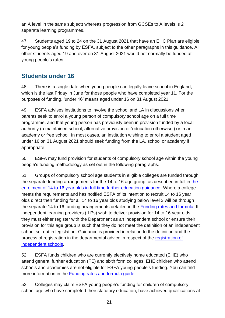an A level in the same subject) whereas progression from GCSEs to A levels is 2 separate learning programmes.

47. Students aged 19 to 24 on the 31 August 2021 that have an EHC Plan are eligible for young people's funding by ESFA, subject to the other paragraphs in this guidance. All other students aged 19 and over on 31 August 2021 would not normally be funded at young people's rates.

## <span id="page-20-0"></span>**Students under 16**

48. There is a single date when young people can legally leave school in England, which is the last Friday in June for those people who have completed year 11. For the purposes of funding, 'under 16' means aged under 16 on 31 August 2021.

49. ESFA advises institutions to involve the school and LA in discussions when parents seek to enrol a young person of compulsory school age on a full time programme, and that young person has previously been in provision funded by a local authority (a maintained school, alternative provision or 'education otherwise') or in an academy or free school. In most cases, an institution wishing to enrol a student aged under 16 on 31 August 2021 should seek funding from the LA, school or academy if appropriate.

50. ESFA may fund provision for students of compulsory school age within the young people's funding methodology as set out in the following paragraphs.

51. Groups of compulsory school age students in eligible colleges are funded through the separate funding arrangements for [the](https://www.gov.uk/government/publications/enrolment-of-14-to-16-year-olds-in-full-time-further-education) 14 to 16 age group, as described in full in the [enrolment of 14 to 16 year olds in full time further education guidance.](https://www.gov.uk/government/publications/enrolment-of-14-to-16-year-olds-in-full-time-further-education) Where a college meets the requirements and has notified ESFA of its intention to recruit 14 to 16 year olds direct then funding for all 14 to 16 year olds studying below level 3 will be through the separate 14 to 16 funding arrangements detailed in the [Funding rates and formula.](https://www.gov.uk/government/publications/funding-rates-and-formula) If independent learning providers (ILPs) wish to deliver provision for 14 to 16 year olds, they must either register with the Department as an independent school or ensure their provision for this age group is such that they do not meet the definition of an independent school set out in legislation. Guidance is provided in relation to the definition and the process of registration in the departmental advice in respect of the [registration of](https://www.gov.uk/government/publications/independent-school-registration)  [independent schools](https://www.gov.uk/government/publications/independent-school-registration).

52. ESFA funds children who are currently electively home educated (EHE) who attend general further education (FE) and sixth form colleges. EHE children who attend schools and academies are not eligible for ESFA young people's funding. You can find more information in the [Funding rates and formula](https://www.gov.uk/government/publications/funding-rates-and-formula) guide.

53. Colleges may claim ESFA young people's funding for children of compulsory school age who have completed their statutory education, have achieved qualifications at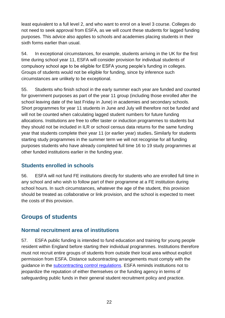least equivalent to a full level 2, and who want to enrol on a level 3 course. Colleges do not need to seek approval from ESFA, as we will count these students for lagged funding purposes. This advice also applies to schools and academies placing students in their sixth forms earlier than usual.

54. In exceptional circumstances, for example, students arriving in the UK for the first time during school year 11, ESFA will consider provision for individual students of compulsory school age to be eligible for ESFA young people's funding in colleges. Groups of students would not be eligible for funding, since by inference such circumstances are unlikely to be exceptional.

55. Students who finish school in the early summer each year are funded and counted for government purposes as part of the year 11 group (including those enrolled after the school leaving date of the last Friday in June) in academies and secondary schools. Short programmes for year 11 students in June and July will therefore not be funded and will not be counted when calculating lagged student numbers for future funding allocations. Institutions are free to offer taster or induction programmes to students but they should not be included in ILR or school census data returns for the same funding year that students complete their year 11 (or earlier year) studies**.** Similarly for students starting study programmes in the summer term we will not recognise for all funding purposes students who have already completed full time 16 to 19 study programmes at other funded institutions earlier in the funding year.

#### <span id="page-21-0"></span>**Students enrolled in schools**

56. ESFA will not fund FE institutions directly for students who are enrolled full time in any school and who wish to follow part of their programme at a FE institution during school hours. In such circumstances, whatever the age of the student, this provision should be treated as collaborative or link provision, and the school is expected to meet the costs of this provision.

## <span id="page-21-1"></span>**Groups of students**

#### <span id="page-21-2"></span>**Normal recruitment area of institutions**

57. ESFA public funding is intended to fund education and training for young people resident within England before starting their individual programmes. Institutions therefore must not recruit entire groups of students from outside their local area without explicit permission from ESFA. Distance subcontracting arrangements must comply with the guidance in the [subcontracting control regulations.](https://www.gov.uk/government/publications/funding-guidance-for-young-people-sub-contracting-controls) ESFA reminds institutions not to jeopardize the reputation of either themselves or the funding agency in terms of safeguarding public funds in their general student recruitment policy and practice.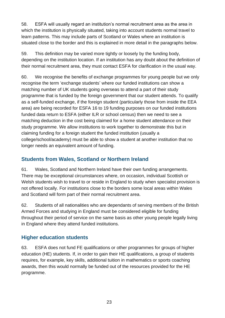58. ESFA will usually regard an institution's normal recruitment area as the area in which the institution is physically situated, taking into account students normal travel to learn patterns. This may include parts of Scotland or Wales where an institution is situated close to the border and this is explained in more detail in the paragraphs below.

59. This definition may be varied more tightly or loosely by the funding body, depending on the institution location. If an institution has any doubt about the definition of their normal recruitment area, they must contact ESFA for clarification in the usual way.

60. We recognise the benefits of exchange programmes for young people but we only recognise the term 'exchange students' where our funded institutions can show a matching number of UK students going overseas to attend a part of their study programme that is funded by the foreign government that our student attends. To qualify as a self-funded exchange, if the foreign student (particularly those from inside the EEA area) are being recorded for ESFA 16 to 19 funding purposes on our funded institutions funded data return to ESFA (either ILR or school census) then we need to see a matching deduction in the cost being claimed for a home student attendance on their study programme. We allow institutions to work together to demonstrate this but in claiming funding for a foreign student the funded institution (usually a college/school/academy) must be able to show a student at another institution that no longer needs an equivalent amount of funding.

#### <span id="page-22-0"></span>**Students from Wales, Scotland or Northern Ireland**

61. Wales, Scotland and Northern Ireland have their own funding arrangements. There may be exceptional circumstances where, on occasion, individual Scottish or Welsh students wish to travel to or reside in England to study when specialist provision is not offered locally. For institutions close to the borders some local areas within Wales and Scotland will form part of their normal recruitment area.

62. Students of all nationalities who are dependants of serving members of the British Armed Forces and studying in England must be considered eligible for funding throughout their period of service on the same basis as other young people legally living in England where they attend funded institutions.

#### <span id="page-22-1"></span>**Higher education students**

63. ESFA does not fund FE qualifications or other programmes for groups of higher education (HE) students. If, in order to gain their HE qualifications, a group of students requires, for example, key skills, additional tuition in mathematics or sports coaching awards, then this would normally be funded out of the resources provided for the HE programme.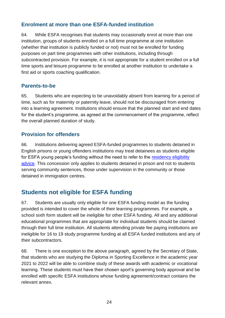#### <span id="page-23-0"></span>**Enrolment at more than one ESFA-funded institution**

64. While ESFA recognises that students may occasionally enrol at more than one institution, groups of students enrolled on a full time programme at one institution (whether that institution is publicly funded or not) must not be enrolled for funding purposes on part time programmes with other institutions, including through subcontracted provision. For example, it is not appropriate for a student enrolled on a full time sports and leisure programme to be enrolled at another institution to undertake a first aid or sports coaching qualification.

#### <span id="page-23-1"></span>**Parents-to-be**

65. Students who are expecting to be unavoidably absent from learning for a period of time, such as for maternity or paternity leave, should not be discouraged from entering into a learning agreement. Institutions should ensure that the planned start and end dates for the student's programme, as agreed at the commencement of the programme, reflect the overall planned duration of study.

#### <span id="page-23-2"></span>**Provision for offenders**

66. Institutions delivering agreed ESFA-funded programmes to students detained in English prisons or young offenders institutions may treat detainees as students eligible for ESFA young people's funding without the need to refer to the [residency eligibility](#page-16-0)  [advice.](#page-16-0) This concession only applies to students detained in prison and not to students serving community sentences, those under supervision in the community or those detained in immigration centres.

## <span id="page-23-3"></span>**Students not eligible for ESFA funding**

<span id="page-23-4"></span>67. Students are usually only eligible for one ESFA funding model as the funding provided is intended to cover the whole of their learning programmes. For example, a school sixth form student will be ineligible for other ESFA funding. All and any additional educational programmes that are appropriate for individual students should be claimed through their full time institution. All students attending private fee paying institutions are ineligible for 16 to 19 study programme funding at all ESFA funded institutions and any of their subcontractors.

68. There is one exception to the above paragraph, agreed by the Secretary of State, that students who are studying the Diploma in Sporting Excellence in the academic year 2021 to 2022 will be able to combine study of these awards with academic or vocational learning. These students must have their chosen sport's governing body approval and be enrolled with specific ESFA institutions whose funding agreement/contract contains the relevant annex.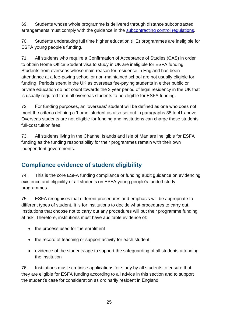69. Students whose whole programme is delivered through distance subcontracted arrangements must comply with the guidance in the [subcontracting control regulations.](https://www.gov.uk/government/publications/funding-guidance-for-young-people-sub-contracting-controls)

70. Students undertaking full time higher education (HE) programmes are ineligible for ESFA young people's funding.

<span id="page-24-1"></span>71. All students who require a Confirmation of Acceptance of Studies (CAS) in order to obtain Home Office Student visa to study in UK are ineligible for ESFA funding. Students from overseas whose main reason for residence in England has been attendance at a fee-paying school or non-maintained school are not usually eligible for funding. Periods spent in the UK as overseas fee-paying students in either public or private education do not count towards the 3 year period of legal residency in the UK that is usually required from all overseas students to be eligible for ESFA funding.

72. For funding purposes, an 'overseas' student will be defined as one who does not meet the criteria defining a 'home' student as also set out in paragraphs [38](#page-17-1) to [41](#page-19-3) above. Overseas students are not eligible for funding and institutions can charge these students full-cost tuition fees.

<span id="page-24-2"></span>73. All students living in the Channel Islands and Isle of Man are ineligible for ESFA funding as the funding responsibility for their programmes remain with their own independent governments.

## <span id="page-24-0"></span>**Compliance evidence of student eligibility**

<span id="page-24-3"></span>74. This is the core ESFA funding compliance or funding audit guidance on evidencing existence and eligibility of all students on ESFA young people's funded study programmes.

75. ESFA recognises that different procedures and emphasis will be appropriate to different types of student. It is for institutions to decide what procedures to carry out. Institutions that choose not to carry out any procedures will put their programme funding at risk. Therefore, institutions must have auditable evidence of:

- the process used for the enrolment
- the record of teaching or support activity for each student
- evidence of the students age to support the safeguarding of all students attending the institution

76. Institutions must scrutinise applications for study by all students to ensure that they are eligible for ESFA funding according to all advice in this section and to support the student's case for consideration as ordinarily resident in England.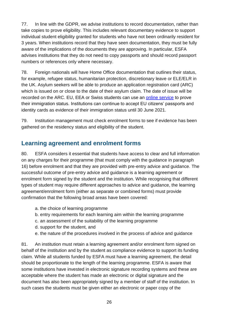77. In line with the GDPR, we advise institutions to record documentation, rather than take copies to prove eligibility. This includes relevant documentary evidence to support individual student eligibility granted for students who have not been ordinarily resident for 3 years. When institutions record that they have seen documentation, they must be fully aware of the implications of the documents they are approving. In particular, ESFA advises institutions that they do not need to copy passports and should record passport numbers or references only where necessary.

78. Foreign nationals will have Home Office documentation that outlines their status, for example, refugee status, humanitarian protection, discretionary leave or ELE/ELR in the UK. Asylum seekers will be able to produce an application registration card (ARC) which is issued on or close to the date of their asylum claim. The date of issue will be recorded on the ARC. EU, EEA or Swiss students can use an [online service](https://www.gov.uk/view-prove-immigration-status) to prove their immigration status. Institutions can continue to accept EU citizens' passports and identity cards as evidence of their immigration status until 30 June 2021.

79. Institution management must check enrolment forms to see if evidence has been gathered on the residency status and eligibility of the student.

#### <span id="page-25-0"></span>**Learning agreement and enrolment forms**

80. ESFA considers it essential that students have access to clear and full information on any charges for their programme (that must comply with the guidance in paragraph [16\)](#page-11-4) before enrolment and that they are provided with pre-entry advice and guidance. The successful outcome of pre-entry advice and guidance is a learning agreement or enrolment form signed by the student and the institution. While recognising that different types of student may require different approaches to advice and guidance, the learning agreement/enrolment form (either as separate or combined forms) must provide confirmation that the following broad areas have been covered:

- a. the choice of learning programme
- b. entry requirements for each learning aim within the learning programme
- c. an assessment of the suitability of the learning programme
- d. support for the student, and
- e. the nature of the procedures involved in the process of advice and guidance

81. An institution must retain a learning agreement and/or enrolment form signed on behalf of the institution and by the student as compliance evidence to support its funding claim. While all students funded by ESFA must have a learning agreement, the detail should be proportionate to the length of the learning programme. ESFA is aware that some institutions have invested in electronic signature recording systems and these are acceptable where the student has made an electronic or digital signature and the document has also been appropriately signed by a member of staff of the institution. In such cases the students must be given either an electronic or paper copy of the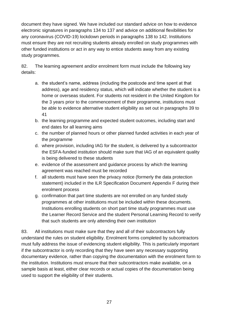document they have signed. We have included our standard advice on how to evidence electronic signatures in paragraphs 134 to 137 and advice on additional flexibilities for any coronavirus (COVID-19) lockdown periods in paragraphs 138 to 142. Institutions must ensure they are not recruiting students already enrolled on study programmes with other funded institutions or act in any way to entice students away from any existing study programmes.

82. The learning agreement and/or enrolment form must include the following key details:

- a. the student's name, address (including the postcode and time spent at that address), age and residency status, which will indicate whether the student is a home or overseas student. For students not resident in the United Kingdom for the 3 years prior to the commencement of their programme, institutions must be able to evidence alternative student eligibility as set out in paragraphs [39](#page-18-0) to [41](#page-19-3)
- b. the learning programme and expected student outcomes, including start and end dates for all learning aims
- c. the number of planned hours or other planned funded activities in each year of the programme
- d. where provision, including IAG for the student, is delivered by a subcontractor the ESFA-funded institution should make sure that IAG of an equivalent quality is being delivered to these students
- e. evidence of the assessment and guidance process by which the learning agreement was reached must be recorded
- f. all students must have seen the privacy notice (formerly the data protection statement) included in the ILR Specification Document Appendix F during their enrolment process
- g. confirmation that part time students are not enrolled on any funded study programmes at other institutions must be included within these documents. Institutions enrolling students on short part time study programmes must use the Learner Record Service and the student Personal Learning Record to verify that such students are only attending their own institution

<span id="page-26-0"></span>83. All institutions must make sure that they and all of their subcontractors fully understand the rules on student eligibility. Enrolment forms completed by subcontractors must fully address the issue of evidencing student eligibility. This is particularly important if the subcontractor is only recording that they have seen any necessary supporting documentary evidence, rather than copying the documentation with the enrolment form to the institution. Institutions must ensure that their subcontractors make available, on a sample basis at least, either clear records or actual copies of the documentation being used to support the eligibility of their students.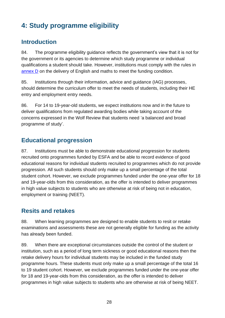# <span id="page-27-0"></span>**4: Study programme eligibility**

#### <span id="page-27-1"></span>**Introduction**

84. The programme eligibility guidance reflects the government's view that it is not for the government or its agencies to determine which study programme or individual qualifications a student should take. However, institutions must comply with the rules in [annex D](#page-61-0) on the delivery of English and maths to meet the funding condition.

85. Institutions through their information, advice and guidance (IAG) processes, should determine the curriculum offer to meet the needs of students, including their HE entry and employment entry needs.

86. For 14 to 19-year-old students, we expect institutions now and in the future to deliver qualifications from regulated awarding bodies while taking account of the concerns expressed in the Wolf Review that students need 'a balanced and broad programme of study'.

## <span id="page-27-2"></span>**Educational progression**

87. Institutions must be able to demonstrate educational progression for students recruited onto programmes funded by ESFA and be able to record evidence of good educational reasons for individual students recruited to programmes which do not provide progression. All such students should only make up a small percentage of the total student cohort. However, we exclude programmes funded under the one-year offer for 18 and 19-year-olds from this consideration, as the offer is intended to deliver programmes in high value subjects to students who are otherwise at risk of being not in education, employment or training (NEET).

## <span id="page-27-3"></span>**Resits and retakes**

88. When learning programmes are designed to enable students to resit or retake examinations and assessments these are not generally eligible for funding as the activity has already been funded.

89. When there are exceptional circumstances outside the control of the student or institution, such as a period of long term sickness or good educational reasons then the retake delivery hours for individual students may be included in the funded study programme hours. These students must only make up a small percentage of the total 16 to 19 student cohort. However, we exclude programmes funded under the one-year offer for 18 and 19-year-olds from this consideration, as the offer is intended to deliver programmes in high value subjects to students who are otherwise at risk of being NEET.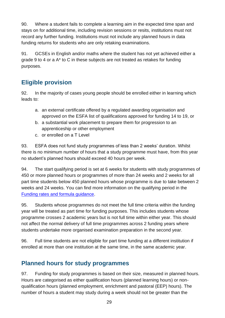90. Where a student fails to complete a learning aim in the expected time span and stays on for additional time, including revision sessions or resits, institutions must not record any further funding. Institutions must not include any planned hours in data funding returns for students who are only retaking examinations.

91. GCSEs in English and/or maths where the student has not yet achieved either a grade 9 to 4 or a A\* to C in these subjects are not treated as retakes for funding purposes.

## <span id="page-28-0"></span>**Eligible provision**

92. In the majority of cases young people should be enrolled either in learning which leads to:

- a. an external certificate offered by a regulated awarding organisation and approved on the ESFA list of qualifications approved for funding 14 to 19, or
- b. a substantial work placement to prepare them for progression to an apprenticeship or other employment
- c. or enrolled on a T Level

93. ESFA does not fund study programmes of less than 2 weeks' duration. Whilst there is no minimum number of hours that a study programme must have, from this year no student's planned hours should exceed 40 hours per week.

94. The start qualifying period is set at 6 weeks for students with study programmes of 450 or more planned hours or programmes of more than 24 weeks and 2 weeks for all part time students below 450 planned hours whose programme is due to take between 2 weeks and 24 weeks. You can find more information on the qualifying period in the [Funding rates and formula guidance.](https://www.gov.uk/government/publications/funding-rates-and-formula)

95. Students whose programmes do not meet the full time criteria within the funding year will be treated as part time for funding purposes. This includes students whose programme crosses 2 academic years but is not full time within either year. This should not affect the normal delivery of full time programmes across 2 funding years where students undertake more organised examination preparation in the second year.

96. Full time students are not eligible for part time funding at a different institution if enrolled at more than one institution at the same time, in the same academic year.

## <span id="page-28-1"></span>**Planned hours for study programmes**

97. Funding for study programmes is based on their size, measured in planned hours. Hours are categorised as either qualification hours (planned learning hours) or nonqualification hours (planned employment, enrichment and pastoral (EEP) hours). The number of hours a student may study during a week should not be greater than the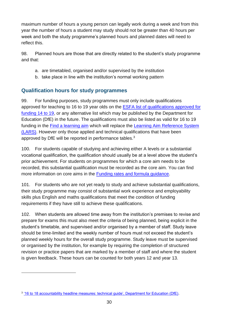maximum number of hours a young person can legally work during a week and from this year the number of hours a student may study should not be greater than 40 hours per week and both the study programme's planned hours and planned dates will need to reflect this.

98. Planned hours are those that are directly related to the student's study programme and that:

- a. are timetabled, organised and/or supervised by the institution
- b. take place in line with the institution's normal working pattern

#### <span id="page-29-0"></span>**Qualification hours for study programmes**

99. For funding purposes, study programmes must only include qualifications approved for teaching to 16 to 19 year olds on the [ESFA list of qualifications approved for](https://section96.education.gov.uk/)  [funding 14 to 19,](https://section96.education.gov.uk/) or any alternative list which may be published by the Department for Education (DfE) in the future. The qualifications must also be listed as valid for 16 to 19 funding in the [Find a learning aim](https://findalearningaimbeta.fasst.org.uk/) which will replace the [Learning Aim Reference System](https://hub.fasst.org.uk/Learning%20Aims/Pages/default.aspx)  [\(LARS\).](https://hub.fasst.org.uk/Learning%20Aims/Pages/default.aspx) However only those applied and technical qualifications that have been approved by DfE will be reported in performance tables.<sup>3</sup>

100. For students capable of studying and achieving either A levels or a substantial vocational qualification, the qualification should usually be at a level above the student's prior achievement. For students on programmes for which a core aim needs to be recorded, this substantial qualification must be recorded as the core aim. You can find more information on core aims in the [Funding rates and formula guidance.](https://www.gov.uk/government/publications/funding-rates-and-formula)

101. For students who are not yet ready to study and achieve substantial qualifications, their study programme may consist of substantial work experience and employability skills plus English and maths qualifications that meet the condition of funding requirements if they have still to achieve these qualifications.

102. When students are allowed time away from the institution's premises to revise and prepare for exams this must also meet the criteria of being planned, being explicit in the student's timetable, and supervised and/or organised by a member of staff. Study leave should be time-limited and the weekly number of hours must not exceed the student's planned weekly hours for the overall study programme. Study leave must be supervised or organised by the institution, for example by requiring the completion of structured revision or practice papers that are marked by a member of staff and where the student is given feedback. These hours can be counted for both years 12 and year 13.

<sup>&</sup>lt;sup>3</sup> <u>['16 to 18 accountability headline measures: technical guide', Department for Education \(DfE\).](http://www.gov.uk/government/publications/16-to-19-accountability-headline-measures-technical-guide)</u>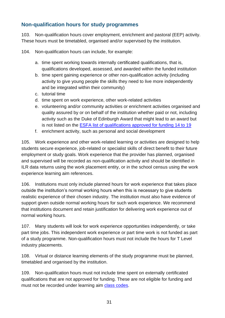#### <span id="page-30-0"></span>**Non-qualification hours for study programmes**

103. Non-qualification hours cover employment, enrichment and pastoral (EEP) activity. These hours must be timetabled, organised and/or supervised by the institution.

104. Non-qualification hours can include, for example:

- a. time spent working towards internally certificated qualifications, that is, qualifications developed, assessed, and awarded within the funded institution
- b. time spent gaining experience or other non-qualification activity (including activity to give young people the skills they need to live more independently and be integrated within their community)
- c. tutorial time
- d. time spent on work experience, other work-related activities
- e. volunteering and/or community activities or enrichment activities organised and quality assured by or on behalf of the institution whether paid or not, including activity such as the Duke of Edinburgh Award that might lead to an award but is not listed on the [ESFA list of qualifications approved for funding 14 to 19](https://section96.education.gov.uk/)
- f. enrichment activity, such as personal and social development

105. Work experience and other work-related learning or activities are designed to help students secure experience, job-related or specialist skills of direct benefit to their future employment or study goals. Work experience that the provider has planned, organised and supervised will be recorded as non-qualification activity and should be identified in ILR data returns using the work placement entity, or in the school census using the work experience learning aim references.

106. Institutions must only include planned hours for work experience that takes place outside the institution's normal working hours when this is necessary to give students realistic experience of their chosen industry. The institution must also have evidence of support given outside normal working hours for such work experience. We recommend that institutions document and retain justification for delivering work experience out of normal working hours.

107. Many students will look for work experience opportunities independently, or take part time jobs. This independent work experience or part time work is not funded as part of a study programme. Non-qualification hours must not include the hours for T Level industry placements.

108. Virtual or distance learning elements of the study programme must be planned, timetabled and organised by the institution.

109. Non-qualification hours must not include time spent on externally certificated qualifications that are not approved for funding. These are not eligible for funding and must not be recorded under learning aim [class codes.](https://www.gov.uk/government/publications/learning-aim-class-codes)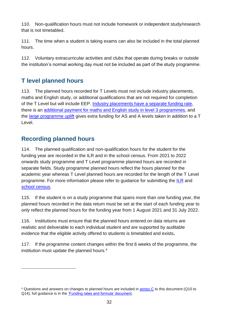110. Non-qualification hours must not include homework or independent study/research that is not timetabled.

111. The time when a student is taking exams can also be included in the total planned hours.

112. Voluntary extracurricular activities and clubs that operate during breaks or outside the institution's normal working day must not be included as part of the study programme.

## <span id="page-31-0"></span>**T level planned hours**

113. The planned hours recorded for T Levels must not include industry placements, maths and English study, or additional qualifications that are not required for completion of the T Level but will include EEP. Industry placements have a separate funding rate, there is an additional payment for maths and English study in level 3 programmes, and the large programme uplift gives extra funding for AS and A levels taken in addition to a T Level.

#### <span id="page-31-1"></span>**Recording planned hours**

114. The planned qualification and non-qualification hours for the student for the funding year are recorded in the ILR and in the school census. From 2021 to 2022 onwards study programme and T Level programme planned hours are recorded in separate fields. Study programme planned hours reflect the hours planned for the academic year whereas T Level planned hours are recorded for the length of the T Level programme. For more information please refer to guidance for submitting the [ILR](https://www.gov.uk/government/collections/individualised-learner-record-ilr) and [school census.](https://www.gov.uk/guidance/complete-the-school-census)

115. If the student is on a study programme that spans more than one funding year, the planned hours recorded in the data return must be set at the start of each funding year to only reflect the planned hours for the funding year from 1 August 2021 and 31 July 2022.

116. Institutions must ensure that the planned hours entered on data returns are realistic and deliverable to each individual student and are supported by auditable evidence that the eligible activity offered to students is timetabled and exists**.**

117. If the programme content changes within the first 6 weeks of the programme, the institution must update the planned hours.<sup>4</sup>

<sup>4</sup> Questions and answers on changes to planned hours are included in [annex C](#page-55-0) to this document (Q10 to Q14); full guidance is in the ['Funding rates and formula' document.](https://www.gov.uk/government/publications/funding-rates-and-formula)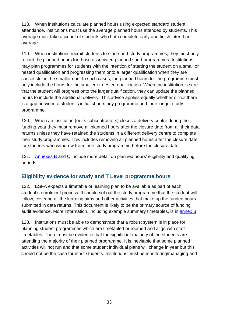118. When institutions calculate planned hours using expected standard student attendance, institutions must use the average planned hours attended by students. This average must take account of students who both complete early and finish later than average.

119. When institutions recruit students to start short study programmes, they must only record the planned hours for those associated planned short programmes. Institutions may plan programmes for students with the intention of starting the student on a small or nested qualification and progressing them onto a larger qualification when they are successful in the smaller one. In such cases, the planned hours for the programme must only include the hours for the smaller or nested qualification. When the institution is sure that the student will progress onto the larger qualification, they can update the planned hours to include the additional delivery. This advice applies equally whether or not there is a gap between a student's initial short study programme and their longer study programme.

120. When an institution (or its subcontractors) closes a delivery centre during the funding year they must remove all planned hours after the closure date from all their data returns unless they have retained the students in a different delivery centre to complete their study programmes. This includes removing all planned hours after the closure date for students who withdrew from their study programme before the closure date.

121. [Annexes B](#page-50-0) and [C](#page-55-0) include more detail on planned hours' eligibility and qualifying periods.

#### <span id="page-32-0"></span>**Eligibility evidence for study and T Level programme hours**

122. ESFA expects a timetable or learning plan to be available as part of each student's enrolment process. It should set out the study programme that the student will follow, covering all the learning aims and other activities that make up the funded hours submitted in data returns. This document is likely to be the primary source of funding audit evidence. More information, including example summary timetables, is in [annex B.](#page-50-0)

123. Institutions must be able to demonstrate that a robust system is in place for planning student programmes which are timetabled or roomed and align with staff timetables. There must be evidence that the significant majority of the students are attending the majority of their planned programme. It is inevitable that some planned activities will not run and that some student individual plans will change in year but this should not be the case for most students. Institutions must be monitoring/managing and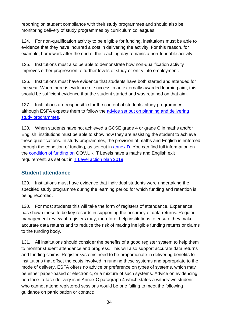reporting on student compliance with their study programmes and should also be monitoring delivery of study programmes by curriculum colleagues.

124. For non-qualification activity to be eligible for funding, institutions must be able to evidence that they have incurred a cost in delivering the activity. For this reason, for example, homework after the end of the teaching day remains a non-fundable activity.

125. Institutions must also be able to demonstrate how non-qualification activity improves either progression to further levels of study or entry into employment.

126. Institutions must have evidence that students have both started and attended for the year. When there is evidence of success in an externally awarded learning aim, this should be sufficient evidence that the student started and was retained on that aim.

127. Institutions are responsible for the content of students' study programmes, although ESFA expects them to follow the [advice set out on planning and delivering](https://www.gov.uk/government/publications/16-to-19-study-programmes-guide-for-providers)  [study programmes.](https://www.gov.uk/government/publications/16-to-19-study-programmes-guide-for-providers)

128. When students have not achieved a GCSE grade 4 or grade C in maths and/or English, institutions must be able to show how they are assisting the student to achieve these qualifications. In study programmes, the provision of maths and English is enforced through the condition of funding, as set out in [annex D.](#page-61-0) You can find full information on the [condition of funding on](https://www.gov.uk/guidance/16-to-19-funding-maths-and-english-condition-of-funding) GOV.UK. T Levels have a maths and English exit requirement, as set out in T Level [action plan 2019.](http://www.gov.uk/government/publications/t-level-action-plan)

#### <span id="page-33-0"></span>**Student attendance**

129. Institutions must have evidence that individual students were undertaking the specified study programme during the learning period for which funding and retention is being recorded.

130. For most students this will take the form of registers of attendance. Experience has shown these to be key records in supporting the accuracy of data returns. Regular management review of registers may, therefore, help institutions to ensure they make accurate data returns and to reduce the risk of making ineligible funding returns or claims to the funding body.

131. All institutions should consider the benefits of a good register system to help them to monitor student attendance and progress. This will also support accurate data returns and funding claims. Register systems need to be proportionate in delivering benefits to institutions that offset the costs involved in running these systems and appropriate to the mode of delivery. ESFA offers no advice or preference on types of systems, which may be either paper-based or electronic, or a mixture of such systems. Advice on evidencing non face-to-face delivery is in Annex C paragraph 4 which states a withdrawn student who cannot attend registered sessions would be one failing to meet the following guidance on participation or contact: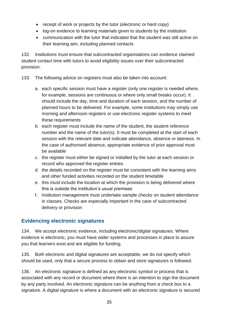- receipt of work or projects by the tutor (electronic or hard copy)
- log-on evidence to learning materials given to students by the institution
- communication with the tutor that indicated that the student was still active on their learning aim, including planned contacts

132. Institutions must ensure that subcontracted organisations can evidence claimed student contact time with tutors to avoid eligibility issues over their subcontracted provision.

133. The following advice on registers must also be taken into account:

- a. each specific session must have a register (only one register is needed where, for example, sessions are continuous or where only small breaks occur). It should include the day, time and duration of each session, and the number of planned hours to be delivered. For example, some institutions may simply use morning and afternoon registers or use electronic register systems to meet these requirements
- b. each register must include the name of the student, the student reference number and the name of the tutor(s). It must be completed at the start of each session with the relevant date and indicate attendance, absence or lateness. In the case of authorised absence, appropriate evidence of prior approval must be available
- c. the register must either be signed or initialled by the tutor at each session or record who approved the register entries
- d. the details recorded on the register must be consistent with the learning aims and other funded activities recorded on the student timetable
- e. this must include the location at which the provision is being delivered where this is outside the institution's usual premises
- f. institution management must undertake sample checks on student attendance in classes. Checks are especially important in the case of subcontracted delivery or provision

#### <span id="page-34-0"></span>**Evidencing electronic signatures**

134. We accept electronic evidence, including electronic/digital signatures. Where evidence is electronic, you must have wider systems and processes in place to assure you that learners exist and are eligible for funding.

135. Both electronic and digital signatures are acceptable, we do not specify which should be used, only that a secure process to obtain and store signatures is followed.

136. An electronic signature is defined as any electronic symbol or process that is associated with any record or document where there is an intention to sign the document by any party involved. An electronic signature can be anything from a check box to a signature. A digital signature is where a document with an electronic signature is secured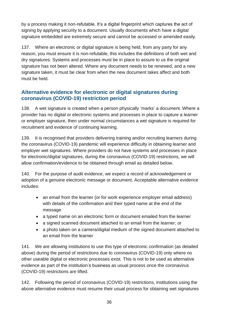by a process making it non-refutable. It's a digital fingerprint which captures the act of signing by applying security to a document. Usually documents which have a digital signature embedded are extremely secure and cannot be accessed or amended easily.

137. Where an electronic or digital signature is being held, from any party for any reason, you must ensure it is non-refutable, this includes the definitions of both wet and dry signatures. Systems and processes must be in place to assure to us the original signature has not been altered. Where any document needs to be renewed, and a new signature taken, it must be clear from when the new document takes affect and both must be held.

#### <span id="page-35-0"></span>**Alternative evidence for electronic or digital signatures during coronavirus (COVID-19) restriction period**

138. A wet signature is created when a person physically 'marks' a document. Where a provider has no digital or electronic systems and processes in place to capture a learner or employer signature, then under normal circumstances a wet signature is required for recruitment and evidence of continuing learning.

139. It is recognised that providers delivering training and/or recruiting learners during the coronavirus (COVID-19) pandemic will experience difficulty in obtaining learner and employer wet signatures. Where providers do not have systems and processes in place for electronic/digital signatures, during the coronavirus (COVID-19) restrictions, we will allow confirmation/evidence to be obtained through email as detailed below.

140. For the purpose of audit evidence, we expect a record of acknowledgement or adoption of a genuine electronic message or document. Acceptable alternative evidence includes:

- an email from the learner (or for work experience employer email address) with details of the confirmation and their typed name at the end of the message
- a typed name on an electronic form or document emailed from the learner
- a signed scanned document attached to an email from the learner; or
- a photo taken on a camera/digital medium of the signed document attached to an email from the learner

141. We are allowing institutions to use this type of electronic confirmation (as detailed above) during the period of restrictions due to coronavirus (COVID-19) only where no other useable digital or electronic processes exist. This is not to be used as alternative evidence as part of the institution's business as usual process once the coronavirus (COVID-19) restrictions are lifted.

142. Following the period of coronavirus (COVID-19) restrictions, institutions using the above alternative evidence must resume their usual process for obtaining wet signatures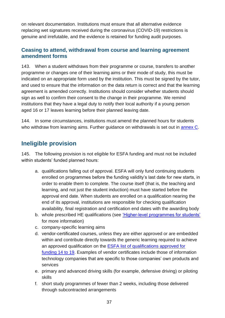on relevant documentation. Institutions must ensure that all alternative evidence replacing wet signatures received during the coronavirus (COVID-19) restrictions is genuine and irrefutable, and the evidence is retained for funding audit purposes.

#### <span id="page-36-0"></span>**Ceasing to attend, withdrawal from course and learning agreement amendment forms**

143. When a student withdraws from their programme or course, transfers to another programme or changes one of their learning aims or their mode of study, this must be indicated on an appropriate form used by the institution. This must be signed by the tutor, and used to ensure that the information on the data return is correct and that the learning agreement is amended correctly. Institutions should consider whether students should sign as well to confirm their consent to the change in their programme. We remind institutions that they have a legal duty to notify their local authority if a young person aged 16 or 17 leaves learning before their planned leaving date.

144. In some circumstances, institutions must amend the planned hours for students who withdraw from learning aims. Further guidance on withdrawals is set out in [annex C.](#page-55-0)

#### <span id="page-36-1"></span>**Ineligible provision**

145. The following provision is not eligible for ESFA funding and must not be included within students' funded planned hours:

- a. qualifications falling out of approval. ESFA will only fund continuing students enrolled on programmes before the funding validity's last date for new starts, in order to enable them to complete. The course itself (that is, the teaching and learning, and not just the student induction) must have started before the approval end date. When students are enrolled on a qualification nearing the end of its approval, institutions are responsible for checking qualification availability, final registration and certification end dates with the awarding body
- b. whole prescribed HE qualifications (see ['Higher-level programmes for students'](#page-40-0) for more information)
- c. company-specific learning aims
- d. vendor-certificated courses, unless they are either approved or are embedded within and contribute directly towards the generic learning required to achieve an approved qualification on the [ESFA list of qualifications approved for](https://section96.education.gov.uk/)  [funding 14 to 19.](https://section96.education.gov.uk/) Examples of vendor certificates include those of information technology companies that are specific to those companies' own products and services
- e. primary and advanced driving skills (for example, defensive driving) or piloting skills
- f. short study programmes of fewer than 2 weeks, including those delivered through subcontracted arrangements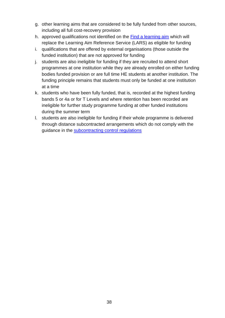- g. other learning aims that are considered to be fully funded from other sources, including all full cost-recovery provision
- h. approved qualifications not identified on the [Find a learning aim](https://findalearningaimbeta.fasst.org.uk/) which will replace the Learning Aim Reference Service (LARS) as eligible for funding
- i. qualifications that are offered by external organisations (those outside the funded institution) that are not approved for funding
- j. students are also ineligible for funding if they are recruited to attend short programmes at one institution while they are already enrolled on either funding bodies funded provision or are full time HE students at another institution. The funding principle remains that students must only be funded at one institution at a time
- k. students who have been fully funded, that is, recorded at the highest funding bands 5 or 4a or for T Levels and where retention has been recorded are ineligible for further study programme funding at other funded institutions during the summer term
- l. students are also ineligible for funding if their whole programme is delivered through distance subcontracted arrangements which do not comply with the guidance in the [subcontracting control regulations](https://www.gov.uk/government/publications/funding-guidance-for-young-people-sub-contracting-controls)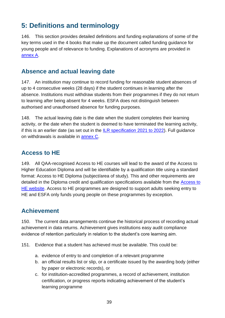# <span id="page-38-0"></span>**5: Definitions and terminology**

146. This section provides detailed definitions and funding explanations of some of the key terms used in the 4 books that make up the document called funding guidance for young people and of relevance to funding. Explanations of acronyms are provided in [annex A.](#page-48-0)

## <span id="page-38-1"></span>**Absence and actual leaving date**

147. An institution may continue to record funding for reasonable student absences of up to 4 consecutive weeks (28 days) if the student continues in learning after the absence. Institutions must withdraw students from their programmes if they do not return to learning after being absent for 4 weeks. ESFA does not distinguish between authorised and unauthorised absence for funding purposes.

148. The actual leaving date is the date when the student completes their learning activity, or the date when the student is deemed to have terminated the learning activity, if this is an earlier date (as set out in the [ILR specification 2021](https://www.gov.uk/government/collections/individualised-learner-record-ilr) to 2022). Full guidance on withdrawals is available in [annex C.](#page-55-0)

## <span id="page-38-2"></span>**Access to HE**

149. All QAA-recognised Access to HE courses will lead to the award of the Access to Higher Education Diploma and will be identifiable by a qualification title using a standard format: Access to HE Diploma (subject/area of study). This and other requirements are detailed in the Diploma credit and qualification specifications available from the [Access to](http://www.accesstohe.ac.uk/Pages/Default.aspx)  [HE website.](http://www.accesstohe.ac.uk/Pages/Default.aspx) Access to HE programmes are designed to support adults seeking entry to HE and ESFA only funds young people on these programmes by exception.

## <span id="page-38-3"></span>**Achievement**

150. The current data arrangements continue the historical process of recording actual achievement in data returns. Achievement gives institutions easy audit compliance evidence of retention particularly in relation to the student's core learning aim.

- 151. Evidence that a student has achieved must be available. This could be:
	- a. evidence of entry to and completion of a relevant programme
	- b. an official results list or slip, or a certificate issued by the awarding body (either by paper or electronic records), or
	- c. for institution-accredited programmes, a record of achievement, institution certification, or progress reports indicating achievement of the student's learning programme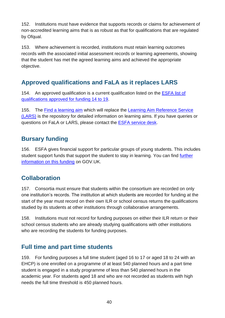152. Institutions must have evidence that supports records or claims for achievement of non-accredited learning aims that is as robust as that for qualifications that are regulated by Ofqual.

153. Where achievement is recorded, institutions must retain learning outcomes records with the associated initial assessment records or learning agreements, showing that the student has met the agreed learning aims and achieved the appropriate objective.

## <span id="page-39-0"></span>**Approved qualifications and FaLA as it replaces LARS**

154. An approved qualification is a current qualification listed on the [ESFA list of](https://section96.education.gov.uk/)  [qualifications approved for funding 14 to 19.](https://section96.education.gov.uk/)

155. The [Find a learning aim](https://findalearningaimbeta.fasst.org.uk/) which will replace the [Learning Aim Reference Service](https://hub.fasst.org.uk/Learning%20Aims/Pages/default.aspx)  [\(LARS\)](https://hub.fasst.org.uk/Learning%20Aims/Pages/default.aspx) is the repository for detailed information on learning aims. If you have queries or questions on FaLA or LARS, please contact the [ESFA service desk.](mailto:SDE.SERVICEDESK@education.gov.uk)

#### <span id="page-39-1"></span>**Bursary funding**

156. ESFA gives financial support for particular groups of young students. This includes student support funds that support the student to stay in learning. You can find [further](https://www.gov.uk/government/collections/funding-education-for-16-to-19-year-olds#16-to-19-funding:-funding-students)  [information on this funding](https://www.gov.uk/government/collections/funding-education-for-16-to-19-year-olds#16-to-19-funding:-funding-students) on GOV.UK.

## <span id="page-39-2"></span>**Collaboration**

157. Consortia must ensure that students within the consortium are recorded on only one institution's records. The institution at which students are recorded for funding at the start of the year must record on their own ILR or school census returns the qualifications studied by its students at other institutions through collaborative arrangements.

158. Institutions must not record for funding purposes on either their ILR return or their school census students who are already studying qualifications with other institutions who are recording the students for funding purposes.

## <span id="page-39-3"></span>**Full time and part time students**

159. For funding purposes a full time student (aged 16 to 17 or aged 18 to 24 with an EHCP) is one enrolled on a programme of at least 540 planned hours and a part time student is engaged in a study programme of less than 540 planned hours in the academic year. For students aged 18 and who are not recorded as students with high needs the full time threshold is 450 planned hours.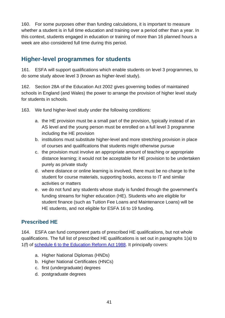160. For some purposes other than funding calculations, it is important to measure whether a student is in full time education and training over a period other than a year. In this context, students engaged in education or training of more than 16 planned hours a week are also considered full time during this period.

#### <span id="page-40-0"></span>**Higher-level programmes for students**

161. ESFA will support qualifications which enable students on level 3 programmes, to do some study above level 3 (known as higher-level study).

162. Section 28A of the Education Act 2002 gives governing bodies of maintained schools in England (and Wales) the power to arrange the provision of higher level study for students in schools.

163. We fund higher-level study under the following conditions:

- a. the HE provision must be a small part of the provision, typically instead of an AS level and the young person must be enrolled on a full level 3 programme including the HE provision
- b. institutions must substitute higher-level and more stretching provision in place of courses and qualifications that students might otherwise pursue
- c. the provision must involve an appropriate amount of teaching or appropriate distance learning; it would not be acceptable for HE provision to be undertaken purely as private study
- d. where distance or online learning is involved, there must be no charge to the student for course materials, supporting books, access to IT and similar activities or matters
- e. we do not fund any students whose study is funded through the government's funding streams for higher education (HE). Students who are eligible for student finance (such as Tuition Fee Loans and Maintenance Loans) will be HE students, and not eligible for ESFA 16 to 19 funding.

#### <span id="page-40-1"></span>**Prescribed HE**

164. ESFA can fund component parts of prescribed HE qualifications, but not whole qualifications. The full list of prescribed HE qualifications is set out in paragraphs 1(a) to 1(f) of [schedule 6 to the Education Reform Act 1988.](http://www.legislation.gov.uk/ukpga/1988/40/schedule/6) It principally covers:

- a. Higher National Diplomas (HNDs)
- b. Higher National Certificates (HNCs)
- c. first (undergraduate) degrees
- d. postgraduate degrees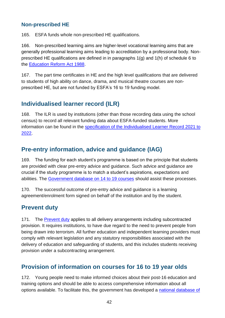#### <span id="page-41-0"></span>**Non-prescribed HE**

165. ESFA funds whole non-prescribed HE qualifications.

166. Non-prescribed learning aims are higher-level vocational learning aims that are generally professional learning aims leading to accreditation by a professional body. Nonprescribed HE qualifications are defined in in paragraphs 1(g) and 1(h) of schedule 6 to the [Education Reform Act 1988.](file:///C:/www.legislation.gov.uk/ukpga/1988/40/schedule/6)

167. The part time certificates in HE and the high level qualifications that are delivered to students of high ability on dance, drama, and musical theatre courses are nonprescribed HE, but are not funded by ESFA's 16 to 19 funding model.

## <span id="page-41-1"></span>**Individualised learner record (ILR)**

168. The ILR is used by institutions (other than those recording data using the school census) to record all relevant funding data about ESFA-funded students. More information can be found in the [specification of the Individualised Learner Record 2021](https://www.gov.uk/government/collections/individualised-learner-record-ilr) to [2022.](https://www.gov.uk/government/collections/individualised-learner-record-ilr)

## <span id="page-41-2"></span>**Pre-entry information, advice and guidance (IAG)**

169. The funding for each student's programme is based on the principle that students are provided with clear pre-entry advice and guidance. Such advice and guidance are crucial if the study programme is to match a student's aspirations, expectations and abilities. The [Government database on 14 to 19 courses](https://www.gov.uk/courses-qualifications) should assist these processes.

170. The successful outcome of pre-entry advice and guidance is a learning agreement/enrolment form signed on behalf of the institution and by the student.

#### **Prevent duty**

171. The [Prevent duty](https://www.gov.uk/government/uploads/system/uploads/attachment_data/file/445915/Prevent_Duty_Guidance_For_Further_Education__England__Wales_-Interactive.pdf) applies to all delivery arrangements including subcontracted provision. It requires institutions, to have due regard to the need to prevent people from being drawn into terrorism. All further education and independent learning providers must comply with relevant legislation and any statutory responsibilities associated with the delivery of education and safeguarding of students, and this includes students receiving provision under a subcontracting arrangement.

## <span id="page-41-3"></span>**Provision of information on courses for 16 to 19 year olds**

172. Young people need to make informed choices about their post-16 education and training options and should be able to access comprehensive information about all options available. To facilitate this, the government has developed a national database of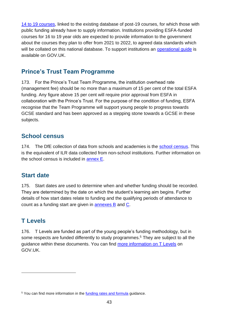[14 to 19 courses,](https://www.gov.uk/courses-qualifications) linked to the existing database of post-19 courses, for which those with public funding already have to supply information. Institutions providing ESFA-funded courses for 16 to 19 year olds are expected to provide information to the government about the courses they plan to offer from 2021 to 2022, to agreed data standards which will be collated on this national database. To support institutions an operational quide is available on GOV.UK.

#### <span id="page-42-0"></span>**Prince's Trust Team Programme**

173. For the Prince's Trust Team Programme, the institution overhead rate (management fee) should be no more than a maximum of 15 per cent of the total ESFA funding. Any figure above 15 per cent will require prior approval from ESFA in collaboration with the Prince's Trust. For the purpose of the condition of funding, ESFA recognise that the Team Programme will support young people to progress towards GCSE standard and has been approved as a stepping stone towards a GCSE in these subjects.

#### <span id="page-42-1"></span>**School census**

174. The DfE collection of data from schools and academies is the [school census.](https://www.gov.uk/guidance/school-census) This is the equivalent of ILR data collected from non-school institutions. Further information on the school census is included in [annex E.](#page-63-0)

#### <span id="page-42-2"></span>**Start date**

175. Start dates are used to determine when and whether funding should be recorded. They are determined by the date on which the student's learning aim begins. Further details of how start dates relate to funding and the qualifying periods of attendance to count as a funding start are given in [annexes B](#page-50-0) and [C.](#page-55-0)

## <span id="page-42-3"></span>**T Levels**

176. T Levels are funded as part of the young people's funding methodology, but in some respects are funded differently to study programmes.<sup>5</sup> They are subject to all the guidance within these documents. You can find [more information on T Levels](https://www.gov.uk/guidance/how-t-levels-will-be-funded-in-academic-year-2020-to-2021) on GOV.UK.

<sup>&</sup>lt;sup>5</sup> You can find more information in the [funding rates and formula](https://www.gov.uk/government/publications/funding-rates-and-formula) guidance.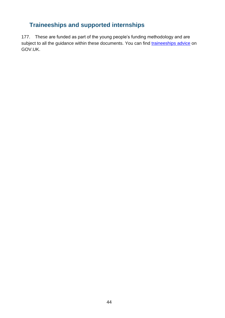## **Traineeships and supported internships**

177. These are funded as part of the young people's funding methodology and are subject to all the guidance within these documents. You can find [traineeships advice](https://www.gov.uk/guidance/delivering-traineeships-through-efa-funding) on GOV.UK.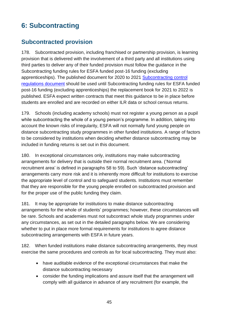# <span id="page-44-0"></span>**6: Subcontracting**

## <span id="page-44-1"></span>**Subcontracted provision**

178. Subcontracted provision, including franchised or partnership provision, is learning provision that is delivered with the involvement of a third party and all institutions using third parties to deliver any of their funded provision must follow the guidance in the Subcontracting funding rules for ESFA funded post-16 funding (excluding apprenticeships). The published document for 2020 to 2021 [Subcontracting control](https://www.gov.uk/government/publications/funding-guidance-for-young-people-sub-contracting-controls)  [regulations document](https://www.gov.uk/government/publications/funding-guidance-for-young-people-sub-contracting-controls) should be used until Subcontracting funding rules for ESFA funded post-16 funding (excluding apprenticeships) the replacement book for 2021 to 2022 is published. ESFA expect written contracts that meet this guidance to be in place before students are enrolled and are recorded on either ILR data or school census returns.

179. Schools (including academy schools) must not register a young person as a pupil while subcontracting the whole of a young person's programme. In addition, taking into account the known risks of irregularity, ESFA will not normally fund young people on distance subcontracting study programmes in other funded institutions. A range of factors to be considered by institutions when deciding whether distance subcontracting may be included in funding returns is set out in this document.

180. In exceptional circumstances only, institutions may make subcontracting arrangements for delivery that is outside their normal recruitment area. ('Normal recruitment area' is defined in paragraphs 58 to 59). Such 'distance subcontracting' arrangements carry more risk and it is inherently more difficult for institutions to exercise the appropriate level of control and to safeguard students. Institutions must remember that they are responsible for the young people enrolled on subcontracted provision and for the proper use of the public funding they claim.

181. It may be appropriate for institutions to make distance subcontracting arrangements for the whole of students' programmes; however, these circumstances will be rare. Schools and academies must not subcontract whole study programmes under any circumstances, as set out in the detailed paragraphs below. We are considering whether to put in place more formal requirements for institutions to agree distance subcontracting arrangements with ESFA in future years.

182. When funded institutions make distance subcontracting arrangements, they must exercise the same procedures and controls as for local subcontracting. They must also:

- have auditable evidence of the exceptional circumstances that make the distance subcontracting necessary
- consider the funding implications and assure itself that the arrangement will comply with all guidance in advance of any recruitment (for example, the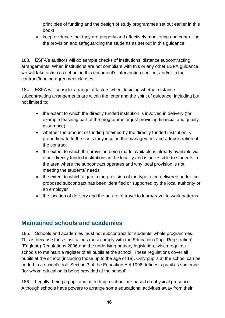principles of funding and the design of study programmes set out earlier in this book)

• keep evidence that they are properly and effectively monitoring and controlling the provision and safeguarding the students as set out in this guidance

183. ESFA's auditors will do sample checks of institutions' distance subcontracting arrangements. When institutions are not compliant with this or any other ESFA guidance, we will take action as set out in this document's intervention section, and/or in the contract/funding agreement clauses.

184. ESFA will consider a range of factors when deciding whether distance subcontracting arrangements are within the letter and the spirit of guidance, including but not limited to:

- the extent to which the directly funded institution is involved in delivery (for example teaching part of the programme or just providing financial and quality assurance)
- whether the amount of funding retained by the directly funded institution is proportionate to the costs they incur in the management and administration of the contract
- the extent to which the provision being made available is already available via other directly funded institutions in the locality and is accessible to students in the area where the subcontract operates and why local provision is not meeting the students' needs
- the extent to which a gap in the provision of the type to be delivered under the proposed subcontract has been identified or supported by the local authority or an employer
- the location of delivery and the nature of travel to learn/travel to work patterns

#### <span id="page-45-0"></span>**Maintained schools and academies**

185. Schools and academies must not subcontract for students' whole programmes. This is because these institutions must comply with the Education (Pupil Registration) (England) Regulations 2006 and the underlying primary legislation, which requires schools to maintain a register of all pupils at the school. These regulations cover all pupils at the school (including those up to the age of 18). Only pupils at the school can be added to a school's roll. Section 3 of the Education Act 1996 defines a pupil as someone "for whom education is being provided at the school".

186. Legally, being a pupil and attending a school are based on physical presence. Although schools have powers to arrange some educational activities away from their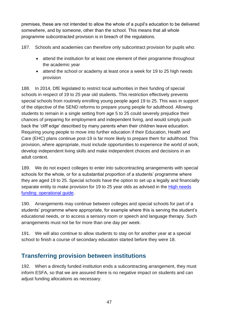premises, these are not intended to allow the whole of a pupil's education to be delivered somewhere, and by someone, other than the school. This means that all whole programme subcontracted provision is in breach of the regulations.

187. Schools and academies can therefore only subcontract provision for pupils who:

- attend the institution for at least one element of their programme throughout the academic year
- attend the school or academy at least once a week for 19 to 25 high needs provision

188. In 2014, DfE legislated to restrict local authorities in their funding of special schools in respect of 19 to 25 year old students. This restriction effectively prevents special schools from routinely enrolling young people aged 19 to 25. This was in support of the objective of the SEND reforms to prepare young people for adulthood. Allowing students to remain in a single setting from age 5 to 25 could severely prejudice their chances of preparing for employment and independent living, and would simply push back the 'cliff edge' described by many parents when their children leave education. Requiring young people to move into further education if their Education, Health and Care (EHC) plans continue post-19 is far more likely to prepare them for adulthood. This provision, where appropriate, must include opportunities to experience the world of work, develop independent living skills and make independent choices and decisions in an adult context.

189. We do not expect colleges to enter into subcontracting arrangements with special schools for the whole, or for a substantial proportion of a students' programme where they are aged 19 to 25. Special schools have the option to set up a legally and financially separate entity to make provision for 19 to 25 year olds as advised in the High needs [funding: operational guide.](https://www.gov.uk/government/publications/high-needs-funding-arrangements-2019-to-2020)

190. Arrangements may continue between colleges and special schools for part of a students' programme where appropriate, for example where this is serving the student's educational needs, or to access a sensory room or speech and language therapy. Such arrangements must not be for more than one day per week.

191. We will also continue to allow students to stay on for another year at a special school to finish a course of secondary education started before they were 18.

## <span id="page-46-0"></span>**Transferring provision between institutions**

192. When a directly funded institution ends a subcontracting arrangement, they must inform ESFA, so that we are assured there is no negative impact on students and can adjust funding allocations as necessary.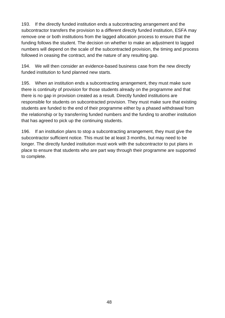193. If the directly funded institution ends a subcontracting arrangement and the subcontractor transfers the provision to a different directly funded institution, ESFA may remove one or both institutions from the lagged allocation process to ensure that the funding follows the student. The decision on whether to make an adjustment to lagged numbers will depend on the scale of the subcontracted provision, the timing and process followed in ceasing the contract, and the nature of any resulting gap.

194. We will then consider an evidence-based business case from the new directly funded institution to fund planned new starts.

195. When an institution ends a subcontracting arrangement, they must make sure there is continuity of provision for those students already on the programme and that there is no gap in provision created as a result. Directly funded institutions are responsible for students on subcontracted provision. They must make sure that existing students are funded to the end of their programme either by a phased withdrawal from the relationship or by transferring funded numbers and the funding to another institution that has agreed to pick up the continuing students.

196. If an institution plans to stop a subcontracting arrangement, they must give the subcontractor sufficient notice. This must be at least 3 months, but may need to be longer. The directly funded institution must work with the subcontractor to put plans in place to ensure that students who are part way through their programme are supported to complete.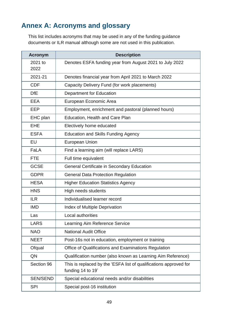# <span id="page-48-0"></span>**Annex A: Acronyms and glossary**

This list includes acronyms that may be used in any of the funding guidance documents or ILR manual although some are not used in this publication.

| <b>Acronym</b>  | <b>Description</b>                                                                     |
|-----------------|----------------------------------------------------------------------------------------|
| 2021 to<br>2022 | Denotes ESFA funding year from August 2021 to July 2022                                |
| 2021-21         | Denotes financial year from April 2021 to March 2022                                   |
| <b>CDF</b>      | Capacity Delivery Fund (for work placements)                                           |
| <b>DfE</b>      | <b>Department for Education</b>                                                        |
| EEA             | European Economic Area                                                                 |
| EEP             | Employment, enrichment and pastoral (planned hours)                                    |
| EHC plan        | Education, Health and Care Plan                                                        |
| <b>EHE</b>      | Electively home educated                                                               |
| <b>ESFA</b>     | <b>Education and Skills Funding Agency</b>                                             |
| EU              | <b>European Union</b>                                                                  |
| FaLA            | Find a learning aim (will replace LARS)                                                |
| <b>FTE</b>      | Full time equivalent                                                                   |
| <b>GCSE</b>     | <b>General Certificate in Secondary Education</b>                                      |
| <b>GDPR</b>     | <b>General Data Protection Regulation</b>                                              |
| <b>HESA</b>     | <b>Higher Education Statistics Agency</b>                                              |
| <b>HNS</b>      | High needs students                                                                    |
| <b>ILR</b>      | Individualised learner record                                                          |
| <b>IMD</b>      | <b>Index of Multiple Deprivation</b>                                                   |
| Las             | Local authorities                                                                      |
| <b>LARS</b>     | Learning Aim Reference Service                                                         |
| <b>NAO</b>      | <b>National Audit Office</b>                                                           |
| <b>NEET</b>     | Post-16s not in education, employment or training                                      |
| Ofqual          | Office of Qualifications and Examinations Regulation                                   |
| QN              | Qualification number (also known as Learning Aim Reference)                            |
| Section 96      | This is replaced by the 'ESFA list of qualifications approved for<br>funding 14 to 19' |
| <b>SEN/SEND</b> | Special educational needs and/or disabilities                                          |
| <b>SPI</b>      | Special post-16 institution                                                            |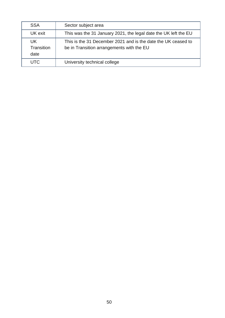| <b>SSA</b>               | Sector subject area                                                                                        |
|--------------------------|------------------------------------------------------------------------------------------------------------|
| UK exit                  | This was the 31 January 2021, the legal date the UK left the EU                                            |
| UK<br>Transition<br>date | This is the 31 December 2021 and is the date the UK ceased to<br>be in Transition arrangements with the EU |
| <b>UTC</b>               | University technical college                                                                               |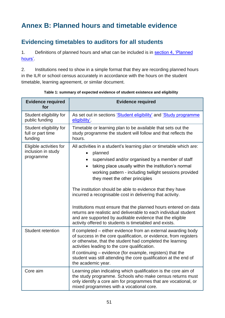# <span id="page-50-0"></span>**Annex B: Planned hours and timetable evidence**

## <span id="page-50-1"></span>**Evidencing timetables to auditors for all students**

1. Definitions of planned hours and what can be included is in section 4, 'Planned [hours'.](#page-28-1)

2. Institutions need to show in a simple format that they are recording planned hours in the ILR or school census accurately in accordance with the hours on the student timetable, learning agreement, or similar document.

| <b>Evidence required</b><br>for                            | <b>Evidence required</b>                                                                                                                                                                                                                                                                                                                                                                                                                                                                                                                                                                                                                                                       |
|------------------------------------------------------------|--------------------------------------------------------------------------------------------------------------------------------------------------------------------------------------------------------------------------------------------------------------------------------------------------------------------------------------------------------------------------------------------------------------------------------------------------------------------------------------------------------------------------------------------------------------------------------------------------------------------------------------------------------------------------------|
| Student eligibility for<br>public funding                  | As set out in sections <i>Student eligibility</i> and <i>Study programme</i><br>eligibility'.                                                                                                                                                                                                                                                                                                                                                                                                                                                                                                                                                                                  |
| Student eligibility for<br>full or part time<br>funding    | Timetable or learning plan to be available that sets out the<br>study programme the student will follow and that reflects the<br>hours.                                                                                                                                                                                                                                                                                                                                                                                                                                                                                                                                        |
| Eligible activities for<br>inclusion in study<br>programme | All activities in a student's learning plan or timetable which are:<br>planned<br>supervised and/or organised by a member of staff<br>taking place usually within the institution's normal<br>working pattern - including twilight sessions provided<br>they meet the other principles<br>The institution should be able to evidence that they have<br>incurred a recognisable cost in delivering that activity.<br>Institutions must ensure that the planned hours entered on data<br>returns are realistic and deliverable to each individual student<br>and are supported by auditable evidence that the eligible<br>activity offered to students is timetabled and exists. |
| Student retention                                          | If completed – either evidence from an external awarding body<br>of success in the core qualification, or evidence, from registers<br>or otherwise, that the student had completed the learning<br>activities leading to the core qualification.<br>If continuing – evidence (for example, registers) that the<br>student was still attending the core qualification at the end of<br>the academic year.                                                                                                                                                                                                                                                                       |
| Core aim                                                   | Learning plan indicating which qualification is the core aim of<br>the study programme. Schools who make census returns must<br>only identify a core aim for programmes that are vocational, or<br>mixed programmes with a vocational core.                                                                                                                                                                                                                                                                                                                                                                                                                                    |

**Table 1: summary of expected evidence of student existence and eligibility**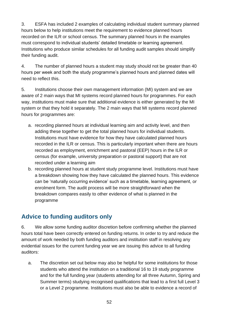3. ESFA has included 2 examples of calculating individual student summary planned hours below to help institutions meet the requirement to evidence planned hours recorded on the ILR or school census. The summary planned hours in the examples must correspond to individual students' detailed timetable or learning agreement. Institutions who produce similar schedules for all funding audit samples should simplify their funding audit.

4. The number of planned hours a student may study should not be greater than 40 hours per week and both the study programme's planned hours and planned dates will need to reflect this.

5. Institutions choose their own management information (MI) system and we are aware of 2 main ways that MI systems record planned hours for programmes. For each way, institutions must make sure that additional evidence is either generated by the MI system or that they hold it separately. The 2 main ways that MI systems record planned hours for programmes are:

- a. recording planned hours at individual learning aim and activity level, and then adding these together to get the total planned hours for individual students. Institutions must have evidence for how they have calculated planned hours recorded in the ILR or census. This is particularly important when there are hours recorded as employment, enrichment and pastoral (EEP) hours in the ILR or census (for example, university preparation or pastoral support) that are not recorded under a learning aim
- b. recording planned hours at student study programme level. Institutions must have a breakdown showing how they have calculated the planned hours. This evidence can be 'naturally occurring evidence' such as a timetable, learning agreement, or enrolment form. The audit process will be more straightforward when the breakdown compares easily to other evidence of what is planned in the programme

## <span id="page-51-0"></span>**Advice to funding auditors only**

6. We allow some funding auditor discretion before confirming whether the planned hours total have been correctly entered on funding returns. In order to try and reduce the amount of work needed by both funding auditors and institution staff in resolving any evidential issues for the current funding year we are issuing this advice to all funding auditors:

a. The discretion set out below may also be helpful for some institutions for those students who attend the institution on a traditional 16 to 19 study programme and for the full funding year (students attending for all three Autumn, Spring and Summer terms) studying recognised qualifications that lead to a first full Level 3 or a Level 2 programme. Institutions must also be able to evidence a record of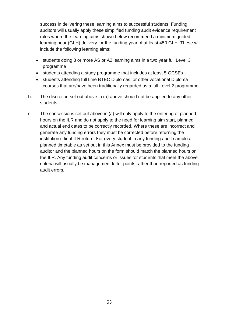success in delivering these learning aims to successful students. Funding auditors will usually apply these simplified funding audit evidence requirement rules where the learning aims shown below recommend a minimum guided learning hour (GLH) delivery for the funding year of at least 450 GLH. These will include the following learning aims:

- students doing 3 or more AS or A2 learning aims in a two year full Level 3 programme
- students attending a study programme that includes at least 5 GCSEs
- students attending full time BTEC Diplomas, or other vocational Diploma courses that are/have been traditionally regarded as a full Level 2 programme
- b. The discretion set out above in (a) above should not be applied to any other students.
- c. The concessions set out above in (a) will only apply to the entering of planned hours on the ILR and do not apply to the need for learning aim start, planned and actual end dates to be correctly recorded. Where these are incorrect and generate any funding errors they must be corrected before returning the institution's final ILR return. For every student in any funding audit sample a planned timetable as set out in this Annex must be provided to the funding auditor and the planned hours on the form should match the planned hours on the ILR. Any funding audit concerns or issues for students that meet the above criteria will usually be management letter points rather than reported as funding audit errors.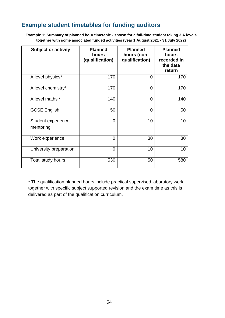## <span id="page-53-0"></span>**Example student timetables for funding auditors**

**Example 1: Summary of planned hour timetable - shown for a full-time student taking 3 A levels together with some associated funded activities (year 1 August 2021 - 31 July 2022)**

| <b>Subject or activity</b>      | <b>Planned</b><br>hours<br>(qualification) | <b>Planned</b><br>hours (non-<br>qualification) | <b>Planned</b><br>hours<br>recorded in<br>the data<br>return |
|---------------------------------|--------------------------------------------|-------------------------------------------------|--------------------------------------------------------------|
| A level physics*                | 170                                        | $\overline{0}$                                  | 170                                                          |
| A level chemistry*              | 170                                        | $\overline{0}$                                  | 170                                                          |
| A level maths *                 | 140                                        | 0                                               | 140                                                          |
| <b>GCSE English</b>             | 50                                         | $\overline{0}$                                  | 50                                                           |
| Student experience<br>mentoring | $\Omega$                                   | 10                                              | 10                                                           |
| Work experience                 | 0                                          | 30                                              | 30                                                           |
| University preparation          | 0                                          | 10                                              | 10                                                           |
| Total study hours               | 530                                        | 50                                              | 580                                                          |

\* The qualification planned hours include practical supervised laboratory work together with specific subject supported revision and the exam time as this is delivered as part of the qualification curriculum.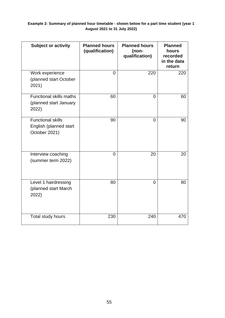#### **Example 2: Summary of planned hour timetable - shown below for a part time student (year 1 August 2021 to 31 July 2022)**

| <b>Subject or activity</b>                                          | <b>Planned hours</b><br>(qualification) | <b>Planned hours</b><br>(non-<br>qualification) | <b>Planned</b><br>hours<br>recorded<br>in the data<br>return |
|---------------------------------------------------------------------|-----------------------------------------|-------------------------------------------------|--------------------------------------------------------------|
| Work experience<br>(planned start October<br>2021)                  | $\Omega$                                | 220                                             | 220                                                          |
| <b>Functional skills maths</b><br>(planned start January<br>2022)   | 60                                      | $\Omega$                                        | 60                                                           |
| <b>Functional skills</b><br>English (planned start<br>October 2021) | 90                                      | $\Omega$                                        | 90                                                           |
| Interview coaching<br>(summer term 2022)                            | $\Omega$                                | 20                                              | 20                                                           |
| Level 1 hairdressing<br>(planned start March<br>2022)               | 80                                      | $\Omega$                                        | 80                                                           |
| Total study hours                                                   | 230                                     | 240                                             | 470                                                          |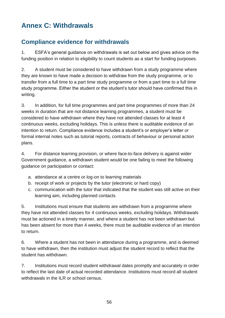# <span id="page-55-0"></span>**Annex C: Withdrawals**

## <span id="page-55-1"></span>**Compliance evidence for withdrawals**

1. ESFA's general guidance on withdrawals is set out below and gives advice on the funding position in relation to eligibility to count students as a start for funding purposes.

2. A student must be considered to have withdrawn from a study programme where they are known to have made a decision to withdraw from the study programme, or to transfer from a full time to a part time study programme or from a part time to a full time study programme. Either the student or the student's tutor should have confirmed this in writing.

3. In addition, for full time programmes and part time programmes of more than 24 weeks in duration that are not distance learning programmes, a student must be considered to have withdrawn where they have not attended classes for at least 4 continuous weeks, excluding holidays. This is unless there is auditable evidence of an intention to return. Compliance evidence includes a student's or employer's letter or formal internal notes such as tutorial reports, contracts of behaviour or personal action plans.

4. For distance learning provision, or where face-to-face delivery is against wider Government guidance, a withdrawn student would be one failing to meet the following guidance on participation or contact:

- a. attendance at a centre or log-on to learning materials
- b. receipt of work or projects by the tutor (electronic or hard copy)
- c. communication with the tutor that indicated that the student was still active on their learning aim, including planned contacts

5. Institutions must ensure that students are withdrawn from a programme where they have not attended classes for 4 continuous weeks, excluding holidays. Withdrawals must be actioned in a timely manner, and where a student has not been withdrawn but has been absent for more than 4 weeks, there must be auditable evidence of an intention to return.

6. Where a student has not been in attendance during a programme, and is deemed to have withdrawn, then the institution must adjust the student record to reflect that the student has withdrawn.

7. Institutions must record student withdrawal dates promptly and accurately in order to reflect the last date of actual recorded attendance. Institutions must record all student withdrawals in the ILR or school census.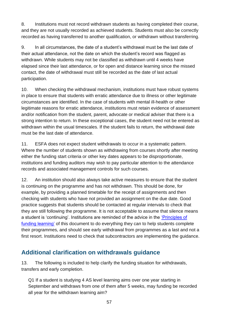8. Institutions must not record withdrawn students as having completed their course, and they are not usually recorded as achieved students. Students must also be correctly recorded as having transferred to another qualification, or withdrawn without transferring.

9. In all circumstances, the date of a student's withdrawal must be the last date of their actual attendance, not the date on which the student's record was flagged as withdrawn. While students may not be classified as withdrawn until 4 weeks have elapsed since their last attendance, or for open and distance learning since the missed contact, the date of withdrawal must still be recorded as the date of last actual participation.

10. When checking the withdrawal mechanism, institutions must have robust systems in place to ensure that students with erratic attendance due to illness or other legitimate circumstances are identified. In the case of students with mental ill-health or other legitimate reasons for erratic attendance, institutions must retain evidence of assessment and/or notification from the student, parent, advocate or medical adviser that there is a strong intention to return. In these exceptional cases, the student need not be entered as withdrawn within the usual timescales. If the student fails to return, the withdrawal date must be the last date of attendance.

11. ESFA does not expect student withdrawals to occur in a systematic pattern. Where the number of students shown as withdrawing from courses shortly after meeting either the funding start criteria or other key dates appears to be disproportionate, institutions and funding auditors may wish to pay particular attention to the attendance records and associated management controls for such courses.

12. An institution should also always take active measures to ensure that the student is continuing on the programme and has not withdrawn. This should be done, for example, by providing a planned timetable for the receipt of assignments and then checking with students who have not provided an assignment on the due date. Good practice suggests that students should be contacted at regular intervals to check that they are still following the programme. It is not acceptable to assume that silence means a student is 'continuing'. Institutions are reminded of the advice in the ['Principles of](#page-11-1)  [funding learning'](#page-11-1) of this document to do everything they can to help students complete their programmes, and should see early withdrawal from programmes as a last and not a first resort. Institutions need to check that subcontractors are implementing the guidance.

## <span id="page-56-0"></span>**Additional clarification on withdrawals guidance**

13. The following is included to help clarify the funding situation for withdrawals, transfers and early completion.

Q1 If a student is studying 4 AS level learning aims over one year starting in September and withdraws from one of them after 5 weeks, may funding be recorded all year for the withdrawn learning aim?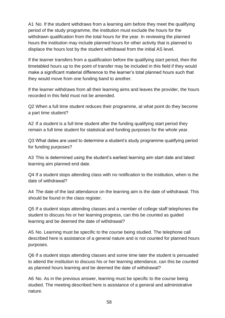A1 No. If the student withdraws from a learning aim before they meet the qualifying period of the study programme, the institution must exclude the hours for the withdrawn qualification from the total hours for the year. In reviewing the planned hours the institution may include planned hours for other activity that is planned to displace the hours lost by the student withdrawal from the initial AS level.

If the learner transfers from a qualification before the qualifying start period, then the timetabled hours up to the point of transfer may be included in this field if they would make a significant material difference to the learner's total planned hours such that they would move from one funding band to another.

If the learner withdraws from all their learning aims and leaves the provider, the hours recorded in this field must not be amended.

Q2 When a full time student reduces their programme, at what point do they become a part time student?

A2 If a student is a full time student after the funding qualifying start period they remain a full time student for statistical and funding purposes for the whole year.

Q3 What dates are used to determine a student's study programme qualifying period for funding purposes?

A3 This is determined using the student's earliest learning aim start date and latest learning aim planned end date.

Q4 If a student stops attending class with no notification to the institution, when is the date of withdrawal?

A4 The date of the last attendance on the learning aim is the date of withdrawal. This should be found in the class register.

Q5 If a student stops attending classes and a member of college staff telephones the student to discuss his or her learning progress, can this be counted as guided learning and be deemed the date of withdrawal?

A5 No. Learning must be specific to the course being studied. The telephone call described here is assistance of a general nature and is not counted for planned hours purposes.

Q6 If a student stops attending classes and some time later the student is persuaded to attend the institution to discuss his or her learning attendance, can this be counted as planned hours learning and be deemed the date of withdrawal?

A6 No. As in the previous answer, learning must be specific to the course being studied. The meeting described here is assistance of a general and administrative nature.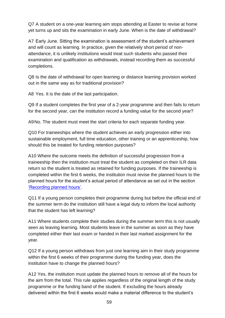Q7 A student on a one-year learning aim stops attending at Easter to revise at home yet turns up and sits the examination in early June. When is the date of withdrawal?

A7 Early June. Sitting the examination is assessment of the student's achievement and will count as learning. In practice, given the relatively short period of nonattendance, it is unlikely institutions would treat such students who passed their examination and qualification as withdrawals, instead recording them as successful completions.

Q8 Is the date of withdrawal for open learning or distance learning provision worked out in the same way as for traditional provision?

A8 Yes. It is the date of the last participation.

Q9 If a student completes the first year of a 2-year programme and then fails to return for the second year, can the institution record a funding value for the second year?

A9No. The student must meet the start criteria for each separate funding year.

Q10 For traineeships where the student achieves an early progression either into sustainable employment, full time education, other training or an apprenticeship, how should this be treated for funding retention purposes?

A10 Where the outcome meets the definition of successful progression from a traineeship then the institution must treat the student as completed on their ILR data return so the student is treated as retained for funding purposes. If the traineeship is completed within the first 6 weeks, the institution must revise the planned hours to the planned hours for the student's actual period of attendance as set out in the section ['Recording planned hours'.](#page-31-1)

Q11 If a young person completes their programme during but before the official end of the summer term do the institution still have a legal duty to inform the local authority that the student has left learning?

A11 Where students complete their studies during the summer term this is not usually seen as leaving learning. Most students leave in the summer as soon as they have completed either their last exam or handed in their last marked assignment for the year.

Q12 If a young person withdraws from just one learning aim in their study programme within the first 6 weeks of their programme during the funding year, does the institution have to change the planned hours?

A12 Yes, the institution must update the planned hours to remove all of the hours for the aim from the total. This rule applies regardless of the original length of the study programme or the funding band of the student. If excluding the hours already delivered within the first 6 weeks would make a material difference to the student's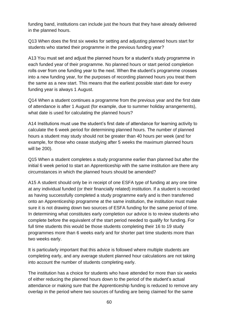funding band, institutions can include just the hours that they have already delivered in the planned hours.

Q13 When does the first six weeks for setting and adjusting planned hours start for students who started their programme in the previous funding year?

A13 You must set and adjust the planned hours for a student's study programme in each funded year of their programme. No planned hours or start period completion rolls over from one funding year to the next. When the student's programme crosses into a new funding year, for the purposes of recording planned hours you treat them the same as a new start. This means that the earliest possible start date for every funding year is always 1 August.

Q14 When a student continues a programme from the previous year and the first date of attendance is after 1 August (for example, due to summer holiday arrangements), what date is used for calculating the planned hours?

A14 Institutions must use the student's first date of attendance for learning activity to calculate the 6 week period for determining planned hours. The number of planned hours a student may study should not be greater than 40 hours per week (and for example, for those who cease studying after 5 weeks the maximum planned hours will be 200).

Q15 When a student completes a study programme earlier than planned but after the initial 6 week period to start an Apprenticeship with the same institution are there any circumstances in which the planned hours should be amended?

A15 A student should only be in receipt of one ESFA type of funding at any one time at any individual funded (or their financially related) institution. If a student is recorded as having successfully completed a study programme early and is then transferred onto an Apprenticeship programme at the same institution, the institution must make sure it is not drawing down two sources of ESFA funding for the same period of time. In determining what constitutes early completion our advice is to review students who complete before the equivalent of the start period needed to qualify for funding. For full time students this would be those students completing their 16 to 19 study programmes more than 6 weeks early and for shorter part time students more than two weeks early.

It is particularly important that this advice is followed where multiple students are completing early, and any average student planned hour calculations are not taking into account the number of students completing early.

The institution has a choice for students who have attended for more than six weeks of either reducing the planned hours down to the period of the student's actual attendance or making sure that the Apprenticeship funding is reduced to remove any overlap in the period where two sources of funding are being claimed for the same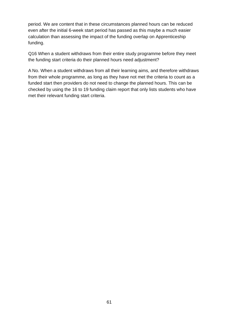period. We are content that in these circumstances planned hours can be reduced even after the initial 6-week start period has passed as this maybe a much easier calculation than assessing the impact of the funding overlap on Apprenticeship funding.

Q16 When a student withdraws from their entire study programme before they meet the funding start criteria do their planned hours need adjustment?

A No. When a student withdraws from all their learning aims, and therefore withdraws from their whole programme, as long as they have not met the criteria to count as a funded start then providers do not need to change the planned hours. This can be checked by using the 16 to 19 funding claim report that only lists students who have met their relevant funding start criteria.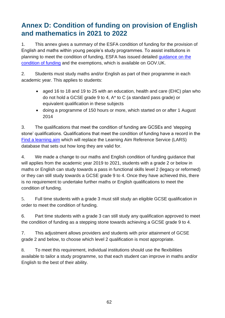# <span id="page-61-0"></span>**Annex D: Condition of funding on provision of English and mathematics in 2021 to 2022**

1. This annex gives a summary of the ESFA condition of funding for the provision of English and maths within young people's study programmes. To assist institutions in planning to meet the condition of funding, ESFA has issued detailed [guidance on the](https://www.gov.uk/16-to-19-funding-maths-and-english-condition-of-funding)  [condition of funding](https://www.gov.uk/16-to-19-funding-maths-and-english-condition-of-funding) and the exemptions, which is available on GOV.UK.

2. Students must study maths and/or English as part of their programme in each academic year. This applies to students:

- aged 16 to 18 and 19 to 25 with an education, health and care (EHC) plan who do not hold a GCSE grade 9 to 4, A\* to C (a standard pass grade) or equivalent qualification in these subjects
- doing a programme of 150 hours or more, which started on or after 1 August 2014

3. The qualifications that meet the condition of funding are GCSEs and 'stepping stone' qualifications. Qualifications that meet the condition of funding have a record in the [Find a learning aim](https://findalearningaimbeta.fasst.org.uk/) which will replace the Learning Aim Reference Service (LARS) database that sets out how long they are valid for.

4. We made a change to our maths and English condition of funding guidance that will applies from the academic year 2019 to 2021, students with a grade 2 or below in maths or English can study towards a pass in functional skills level 2 (legacy or reformed) or they can still study towards a GCSE grade 9 to 4. Once they have achieved this, there is no requirement to undertake further maths or English qualifications to meet the condition of funding.

5. Full time students with a grade 3 must still study an eligible GCSE qualification in order to meet the condition of funding.

6. Part time students with a grade 3 can still study any qualification approved to meet the condition of funding as a stepping stone towards achieving a GCSE grade 9 to 4.

7. This adjustment allows providers and students with prior attainment of GCSE grade 2 and below, to choose which level 2 qualification is most appropriate.

8. To meet this requirement, individual institutions should use the flexibilities available to tailor a study programme, so that each student can improve in maths and/or English to the best of their ability.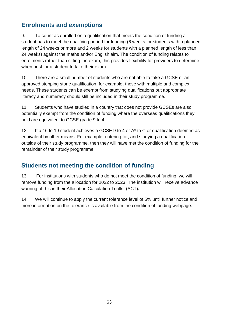## <span id="page-62-0"></span>**Enrolments and exemptions**

9. To count as enrolled on a qualification that meets the condition of funding a student has to meet the qualifying period for funding (6 weeks for students with a planned length of 24 weeks or more and 2 weeks for students with a planned length of less than 24 weeks) against the maths and/or English aim. The condition of funding relates to enrolments rather than sitting the exam, this provides flexibility for providers to determine when best for a student to take their exam.

10. There are a small number of students who are not able to take a GCSE or an approved stepping stone qualification, for example, those with multiple and complex needs. These students can be exempt from studying qualifications but appropriate literacy and numeracy should still be included in their study programme.

11. Students who have studied in a country that does not provide GCSEs are also potentially exempt from the condition of funding where the overseas qualifications they hold are equivalent to GCSE grade 9 to 4.

12. If a 16 to 19 student achieves a GCSE 9 to 4 or A\* to C or qualification deemed as equivalent by other means. For example, entering for, and studying a qualification outside of their study programme, then they will have met the condition of funding for the remainder of their study programme.

## <span id="page-62-1"></span>**Students not meeting the condition of funding**

13. For institutions with students who do not meet the condition of funding, we will remove funding from the allocation for 2022 to 2023. The institution will receive advance warning of this in their Allocation Calculation Toolkit (ACT)**.**

14. We will continue to apply the current tolerance level of 5% until further notice and more information on the tolerance is available from the condition of funding webpage.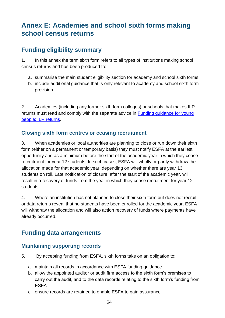# <span id="page-63-0"></span>**Annex E: Academies and school sixth forms making school census returns**

#### <span id="page-63-1"></span>**Funding eligibility summary**

1. In this annex the term sixth form refers to all types of institutions making school census returns and has been produced to:

- a. summarise the main student eligibility section for academy and school sixth forms
- b. include additional guidance that is only relevant to academy and school sixth form provision

2. Academies (including any former sixth form colleges) or schools that makes ILR returns must read and comply with the separate advice in [Funding guidance for young](https://www.gov.uk/government/publications/advice-individualised-learner-record-ilr-returns)  [people: ILR returns.](https://www.gov.uk/government/publications/advice-individualised-learner-record-ilr-returns)

#### <span id="page-63-2"></span>**Closing sixth form centres or ceasing recruitment**

3. When academies or local authorities are planning to close or run down their sixth form (either on a permanent or temporary basis) they must notify ESFA at the earliest opportunity and as a minimum before the start of the academic year in which they cease recruitment for year 12 students. In such cases, ESFA will wholly or partly withdraw the allocation made for that academic year, depending on whether there are year 13 students on roll. Late notification of closure, after the start of the academic year, will result in a recovery of funds from the year in which they cease recruitment for year 12 students.

4. Where an institution has not planned to close their sixth form but does not recruit or data returns reveal that no students have been enrolled for the academic year, ESFA will withdraw the allocation and will also action recovery of funds where payments have already occurred.

#### <span id="page-63-3"></span>**Funding data arrangements**

#### <span id="page-63-4"></span>**Maintaining supporting records**

- 5. By accepting funding from ESFA, sixth forms take on an obligation to:
	- a. maintain all records in accordance with ESFA funding guidance
	- b. allow the appointed auditor or audit firm access to the sixth form's premises to carry out the audit, and to the data records relating to the sixth form's funding from ESFA
	- c. ensure records are retained to enable ESFA to gain assurance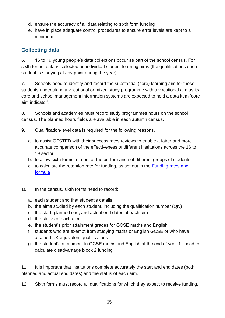- d. ensure the accuracy of all data relating to sixth form funding
- e. have in place adequate control procedures to ensure error levels are kept to a minimum

#### <span id="page-64-0"></span>**Collecting data**

6. 16 to 19 young people's data collections occur as part of the school census. For sixth forms, data is collected on individual student learning aims (the qualifications each student is studying at any point during the year).

7. Schools need to identify and record the substantial (core) learning aim for those students undertaking a vocational or mixed study programme with a vocational aim as its core and school management information systems are expected to hold a data item 'core aim indicator'.

8. Schools and academies must record study programmes hours on the school census. The planned hours fields are available in each autumn census.

- 9. Qualification-level data is required for the following reasons.
	- a. to assist OFSTED with their success rates reviews to enable a fairer and more accurate comparison of the effectiveness of different institutions across the 16 to 19 sector
	- b. to allow sixth forms to monitor the performance of different groups of students
	- c. to calculate the retention rate for funding, as set out in the [Funding rates and](https://www.gov.uk/government/publications/funding-rates-and-formula)  [formula](https://www.gov.uk/government/publications/funding-rates-and-formula)
- 10. In the census, sixth forms need to record:
	- a. each student and that student's details
	- b. the aims studied by each student, including the qualification number (QN)
	- c. the start, planned end, and actual end dates of each aim
	- d. the status of each aim
	- e. the student's prior attainment grades for GCSE maths and English
	- f. students who are exempt from studying maths or English GCSE or who have attained UK equivalent qualifications
	- g. the student's attainment in GCSE maths and English at the end of year 11 used to calculate disadvantage block 2 funding

11. It is important that institutions complete accurately the start and end dates (both planned and actual end dates) and the status of each aim.

12. Sixth forms must record all qualifications for which they expect to receive funding.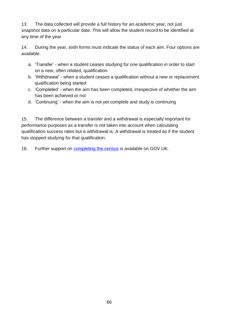13. The data collected will provide a full history for an academic year, not just snapshot data on a particular date. This will allow the student record to be identified at any time of the year.

14. During the year, sixth forms must indicate the status of each aim. Four options are available.

- a. 'Transfer' when a student ceases studying for one qualification in order to start on a new, often related, qualification
- b. 'Withdrawal' when a student ceases a qualification without a new or replacement qualification being started
- c. 'Completed' when the aim has been completed, irrespective of whether the aim has been achieved or not
- d. 'Continuing' when the aim is not yet complete and study is continuing

15. The difference between a transfer and a withdrawal is especially important for performance purposes as a transfer is not taken into account when calculating qualification success rates but a withdrawal is. A withdrawal is treated as if the student has stopped studying for that qualification.

16. Further support on [completing the census](https://www.gov.uk/guidance/school-census) is available on GOV.UK.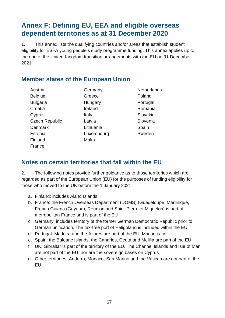## <span id="page-66-0"></span>**Annex F: Defining EU, EEA and eligible overseas dependent territories as at 31 December 2020**

1. This annex lists the qualifying countries and/or areas that establish student eligibility for ESFA young people's study programme funding. This annex applies up to the end of the United Kingdom transition arrangements with the EU on 31 December 2021.

#### <span id="page-66-1"></span>**Member states of the European Union**

Austria Belgium Bulgaria **Croatia C**vprus Czech Republic Denmark Estonia Finland France

**Germany** Greece **Hungary** Ireland Italy Latvia Lithuania Luxembourg Malta

**Netherlands** Poland Portugal Romania Slovakia Slovenia **Spain** Sweden

#### <span id="page-66-2"></span>**Notes on certain territories that fall within the EU**

2. The following notes provide further guidance as to those territories which are regarded as part of the European Union (EU) for the purposes of funding eligibility for those who moved to the UK before the 1 January 2021:

- a. Finland: includes Aland Islands
- b. France: the French Overseas Department (DOMS) (Guadeloupe, Martinique, French Guiana (Guyana), Reunion and Saint-Pierre et Miquelon) is part of metropolitan France and is part of the EU
- c. Germany: includes territory of the former German Democratic Republic prior to German unification. The tax-free port of Heligoland is included within the EU
- d. Portugal: Madeira and the Azores are part of the EU. Macao is not
- e. Spain: the Balearic Islands, the Canaries, Ceuta and Melilla are part of the EU
- f. UK: Gibraltar is part of the territory of the EU. The Channel Islands and Isle of Man are not part of the EU, nor are the sovereign bases on Cyprus
- g. Other territories: Andorra, Monaco, San Marino and the Vatican are not part of the EU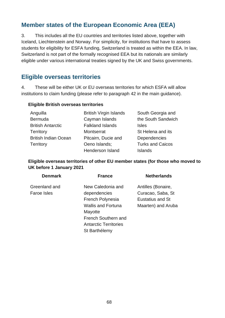#### <span id="page-67-0"></span>**Member states of the European Economic Area (EEA)**

3. This includes all the EU countries and territories listed above, together with Iceland, Liechtenstein and Norway. For simplicity, for institutions that have to assess students for eligibility for ESFA funding, Switzerland is treated as within the EEA. In law, Switzerland is not part of the formally recognised EEA but its nationals are similarly eligible under various international treaties signed by the UK and Swiss governments.

#### <span id="page-67-1"></span>**Eligible overseas territories**

4. These will be either UK or EU overseas territories for which ESFA will allow institutions to claim funding (please refer to paragraph [42](#page-19-4) in the main guidance).

#### **Eligible British overseas territories**

| Anguilla                    | <b>British Virgin Islands</b> | South Georgia and       |
|-----------------------------|-------------------------------|-------------------------|
| <b>Bermuda</b>              | Cayman Islands                | the South Sandwich      |
| <b>British Antarctic</b>    | <b>Falkland Islands</b>       | <b>Isles</b>            |
| <b>Territory</b>            | Montserrat                    | St Helena and its       |
| <b>British Indian Ocean</b> | Pitcairn, Ducie and           | Dependencies            |
| Territory                   | Oeno Islands;                 | <b>Turks and Caicos</b> |
|                             | Henderson Island              | <b>Islands</b>          |

#### **Eligible overseas territories of other EU member states (for those who moved to UK before 1 January 2021**

| <b>Denmark</b> | <b>France</b>                | <b>Netherlands</b> |
|----------------|------------------------------|--------------------|
| Greenland and  | New Caledonia and            | Antilles (Bonaire, |
| Faroe Isles    | dependencies                 | Curacao, Saba, St  |
|                | <b>French Polynesia</b>      | Eustatius and St   |
|                | <b>Wallis and Fortuna</b>    | Maarten) and Aruba |
|                | Mayotte                      |                    |
|                | French Southern and          |                    |
|                | <b>Antarctic Territories</b> |                    |
|                | St Barthélemy                |                    |